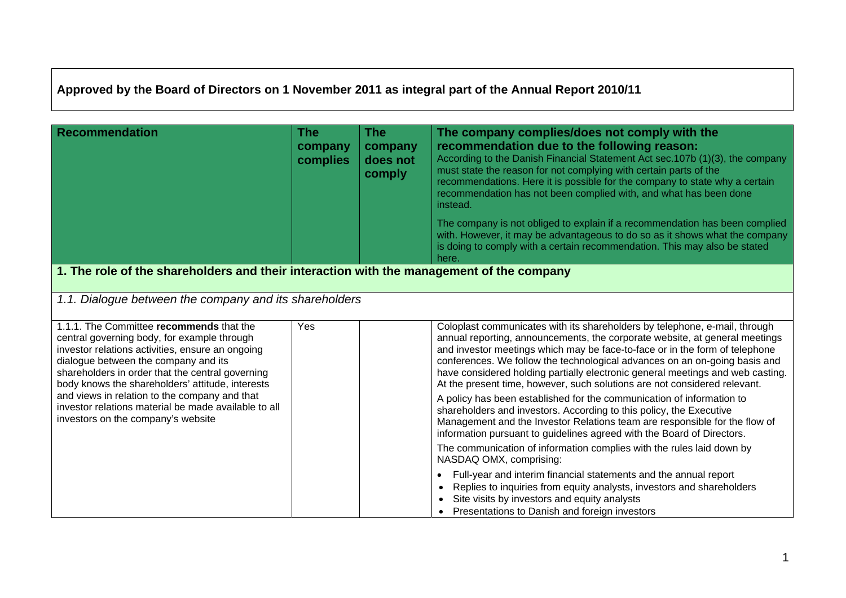## **Approved by the Board of Directors on 1 November 2011 as integral part of the Annual Report 2010/11**

| <b>Recommendation</b>                                                                                                                                                                                                                                                                                                                                                                                                                      | <b>The</b><br>company<br>complies | <b>The</b><br>company<br>does not<br>comply | The company complies/does not comply with the<br>recommendation due to the following reason:<br>According to the Danish Financial Statement Act sec. 107b (1)(3), the company<br>must state the reason for not complying with certain parts of the<br>recommendations. Here it is possible for the company to state why a certain<br>recommendation has not been complied with, and what has been done<br>instead.<br>The company is not obliged to explain if a recommendation has been complied<br>with. However, it may be advantageous to do so as it shows what the company<br>is doing to comply with a certain recommendation. This may also be stated<br>here.                                                                                                                                                                                                                                                                                                                                                                                                   |
|--------------------------------------------------------------------------------------------------------------------------------------------------------------------------------------------------------------------------------------------------------------------------------------------------------------------------------------------------------------------------------------------------------------------------------------------|-----------------------------------|---------------------------------------------|--------------------------------------------------------------------------------------------------------------------------------------------------------------------------------------------------------------------------------------------------------------------------------------------------------------------------------------------------------------------------------------------------------------------------------------------------------------------------------------------------------------------------------------------------------------------------------------------------------------------------------------------------------------------------------------------------------------------------------------------------------------------------------------------------------------------------------------------------------------------------------------------------------------------------------------------------------------------------------------------------------------------------------------------------------------------------|
| 1. The role of the shareholders and their interaction with the management of the company                                                                                                                                                                                                                                                                                                                                                   |                                   |                                             |                                                                                                                                                                                                                                                                                                                                                                                                                                                                                                                                                                                                                                                                                                                                                                                                                                                                                                                                                                                                                                                                          |
| 1.1. Dialogue between the company and its shareholders                                                                                                                                                                                                                                                                                                                                                                                     |                                   |                                             |                                                                                                                                                                                                                                                                                                                                                                                                                                                                                                                                                                                                                                                                                                                                                                                                                                                                                                                                                                                                                                                                          |
| 1.1.1. The Committee recommends that the<br>central governing body, for example through<br>investor relations activities, ensure an ongoing<br>dialogue between the company and its<br>shareholders in order that the central governing<br>body knows the shareholders' attitude, interests<br>and views in relation to the company and that<br>investor relations material be made available to all<br>investors on the company's website | Yes                               |                                             | Coloplast communicates with its shareholders by telephone, e-mail, through<br>annual reporting, announcements, the corporate website, at general meetings<br>and investor meetings which may be face-to-face or in the form of telephone<br>conferences. We follow the technological advances on an on-going basis and<br>have considered holding partially electronic general meetings and web casting.<br>At the present time, however, such solutions are not considered relevant.<br>A policy has been established for the communication of information to<br>shareholders and investors. According to this policy, the Executive<br>Management and the Investor Relations team are responsible for the flow of<br>information pursuant to guidelines agreed with the Board of Directors.<br>The communication of information complies with the rules laid down by<br>NASDAQ OMX, comprising:<br>Full-year and interim financial statements and the annual report<br>$\bullet$<br>Replies to inquiries from equity analysts, investors and shareholders<br>$\bullet$ |
|                                                                                                                                                                                                                                                                                                                                                                                                                                            |                                   |                                             | Site visits by investors and equity analysts<br>Presentations to Danish and foreign investors                                                                                                                                                                                                                                                                                                                                                                                                                                                                                                                                                                                                                                                                                                                                                                                                                                                                                                                                                                            |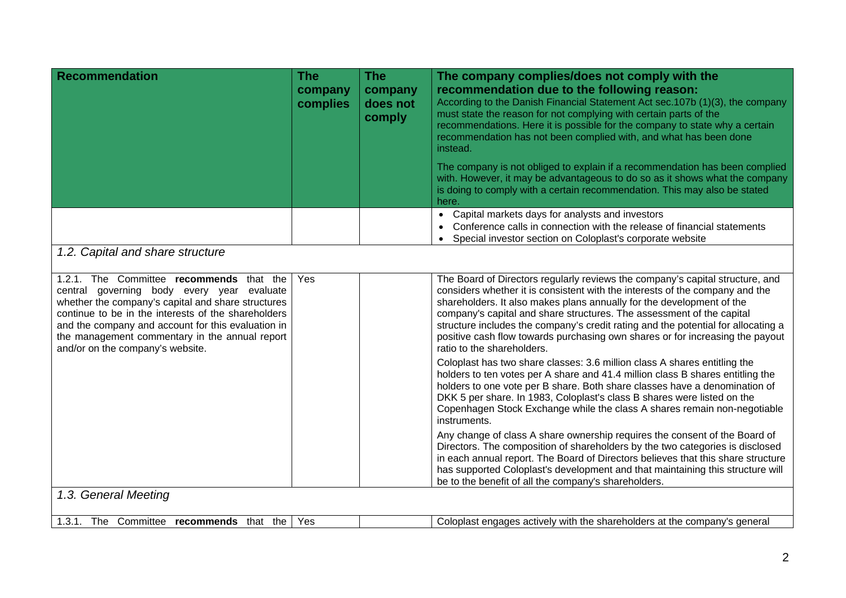| <b>Recommendation</b>                                                                                                                                                                                                                                                                                                                           | <b>The</b><br>company<br>complies | <b>The</b><br>company<br>does not<br>comply | The company complies/does not comply with the<br>recommendation due to the following reason:<br>According to the Danish Financial Statement Act sec.107b (1)(3), the company<br>must state the reason for not complying with certain parts of the<br>recommendations. Here it is possible for the company to state why a certain<br>recommendation has not been complied with, and what has been done<br>instead.<br>The company is not obliged to explain if a recommendation has been complied                    |  |  |
|-------------------------------------------------------------------------------------------------------------------------------------------------------------------------------------------------------------------------------------------------------------------------------------------------------------------------------------------------|-----------------------------------|---------------------------------------------|---------------------------------------------------------------------------------------------------------------------------------------------------------------------------------------------------------------------------------------------------------------------------------------------------------------------------------------------------------------------------------------------------------------------------------------------------------------------------------------------------------------------|--|--|
|                                                                                                                                                                                                                                                                                                                                                 |                                   |                                             | with. However, it may be advantageous to do so as it shows what the company<br>is doing to comply with a certain recommendation. This may also be stated<br>here.                                                                                                                                                                                                                                                                                                                                                   |  |  |
|                                                                                                                                                                                                                                                                                                                                                 |                                   |                                             | • Capital markets days for analysts and investors<br>Conference calls in connection with the release of financial statements<br>Special investor section on Coloplast's corporate website                                                                                                                                                                                                                                                                                                                           |  |  |
| 1.2. Capital and share structure                                                                                                                                                                                                                                                                                                                |                                   |                                             |                                                                                                                                                                                                                                                                                                                                                                                                                                                                                                                     |  |  |
| 1.2.1. The Committee recommends that the<br>central governing body every year evaluate<br>whether the company's capital and share structures<br>continue to be in the interests of the shareholders<br>and the company and account for this evaluation in<br>the management commentary in the annual report<br>and/or on the company's website. | Yes                               |                                             | The Board of Directors regularly reviews the company's capital structure, and<br>considers whether it is consistent with the interests of the company and the<br>shareholders. It also makes plans annually for the development of the<br>company's capital and share structures. The assessment of the capital<br>structure includes the company's credit rating and the potential for allocating a<br>positive cash flow towards purchasing own shares or for increasing the payout<br>ratio to the shareholders. |  |  |
|                                                                                                                                                                                                                                                                                                                                                 |                                   |                                             | Coloplast has two share classes: 3.6 million class A shares entitling the<br>holders to ten votes per A share and 41.4 million class B shares entitling the<br>holders to one vote per B share. Both share classes have a denomination of<br>DKK 5 per share. In 1983, Coloplast's class B shares were listed on the<br>Copenhagen Stock Exchange while the class A shares remain non-negotiable<br>instruments.                                                                                                    |  |  |
|                                                                                                                                                                                                                                                                                                                                                 |                                   |                                             | Any change of class A share ownership requires the consent of the Board of<br>Directors. The composition of shareholders by the two categories is disclosed<br>in each annual report. The Board of Directors believes that this share structure<br>has supported Coloplast's development and that maintaining this structure will<br>be to the benefit of all the company's shareholders.                                                                                                                           |  |  |
| 1.3. General Meeting                                                                                                                                                                                                                                                                                                                            |                                   |                                             |                                                                                                                                                                                                                                                                                                                                                                                                                                                                                                                     |  |  |
| 1.3.1. The Committee recommends that the                                                                                                                                                                                                                                                                                                        | Yes                               |                                             | Coloplast engages actively with the shareholders at the company's general                                                                                                                                                                                                                                                                                                                                                                                                                                           |  |  |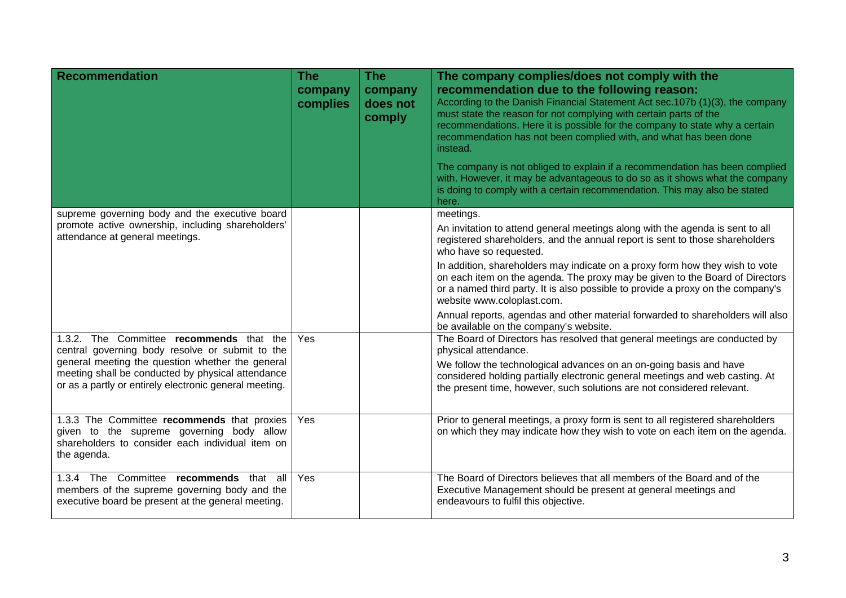| <b>Recommendation</b>                                                                                                                                           | <b>The</b><br>company<br>complies | <b>The</b><br>company<br>does not<br>comply | The company complies/does not comply with the<br>recommendation due to the following reason:<br>According to the Danish Financial Statement Act sec.107b (1)(3), the company<br>must state the reason for not complying with certain parts of the<br>recommendations. Here it is possible for the company to state why a certain<br>recommendation has not been complied with, and what has been done<br>instead.<br>The company is not obliged to explain if a recommendation has been complied<br>with. However, it may be advantageous to do so as it shows what the company |
|-----------------------------------------------------------------------------------------------------------------------------------------------------------------|-----------------------------------|---------------------------------------------|---------------------------------------------------------------------------------------------------------------------------------------------------------------------------------------------------------------------------------------------------------------------------------------------------------------------------------------------------------------------------------------------------------------------------------------------------------------------------------------------------------------------------------------------------------------------------------|
|                                                                                                                                                                 |                                   |                                             | is doing to comply with a certain recommendation. This may also be stated<br>here.                                                                                                                                                                                                                                                                                                                                                                                                                                                                                              |
| supreme governing body and the executive board                                                                                                                  |                                   |                                             | meetings.                                                                                                                                                                                                                                                                                                                                                                                                                                                                                                                                                                       |
| promote active ownership, including shareholders'<br>attendance at general meetings.                                                                            |                                   |                                             | An invitation to attend general meetings along with the agenda is sent to all<br>registered shareholders, and the annual report is sent to those shareholders<br>who have so requested.                                                                                                                                                                                                                                                                                                                                                                                         |
|                                                                                                                                                                 |                                   |                                             | In addition, shareholders may indicate on a proxy form how they wish to vote<br>on each item on the agenda. The proxy may be given to the Board of Directors<br>or a named third party. It is also possible to provide a proxy on the company's<br>website www.coloplast.com.                                                                                                                                                                                                                                                                                                   |
|                                                                                                                                                                 |                                   |                                             | Annual reports, agendas and other material forwarded to shareholders will also<br>be available on the company's website.                                                                                                                                                                                                                                                                                                                                                                                                                                                        |
| 1.3.2. The Committee recommends that the<br>central governing body resolve or submit to the                                                                     | Yes                               |                                             | The Board of Directors has resolved that general meetings are conducted by<br>physical attendance.                                                                                                                                                                                                                                                                                                                                                                                                                                                                              |
| general meeting the question whether the general<br>meeting shall be conducted by physical attendance<br>or as a partly or entirely electronic general meeting. |                                   |                                             | We follow the technological advances on an on-going basis and have<br>considered holding partially electronic general meetings and web casting. At<br>the present time, however, such solutions are not considered relevant.                                                                                                                                                                                                                                                                                                                                                    |
| 1.3.3 The Committee recommends that proxies<br>given to the supreme governing body allow<br>shareholders to consider each individual item on<br>the agenda.     | Yes                               |                                             | Prior to general meetings, a proxy form is sent to all registered shareholders<br>on which they may indicate how they wish to vote on each item on the agenda.                                                                                                                                                                                                                                                                                                                                                                                                                  |
| 1.3.4 The Committee recommends that all<br>members of the supreme governing body and the<br>executive board be present at the general meeting.                  | Yes                               |                                             | The Board of Directors believes that all members of the Board and of the<br>Executive Management should be present at general meetings and<br>endeavours to fulfil this objective.                                                                                                                                                                                                                                                                                                                                                                                              |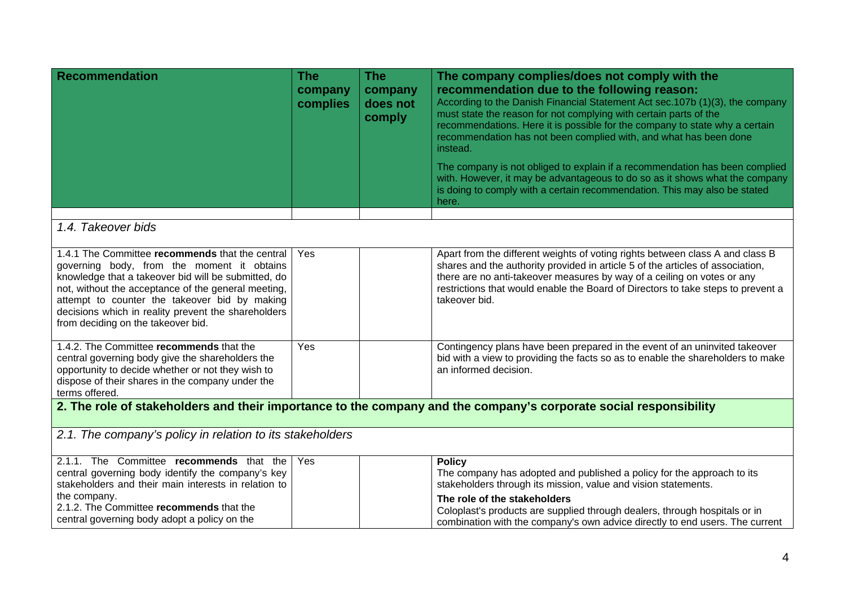| <b>Recommendation</b>                                                                                                                                                                                                                                                                                                                                     | <b>The</b><br>company<br>complies | <b>The</b><br>company<br>does not<br>comply | The company complies/does not comply with the<br>recommendation due to the following reason:<br>According to the Danish Financial Statement Act sec.107b (1)(3), the company<br>must state the reason for not complying with certain parts of the<br>recommendations. Here it is possible for the company to state why a certain<br>recommendation has not been complied with, and what has been done<br>instead.<br>The company is not obliged to explain if a recommendation has been complied<br>with. However, it may be advantageous to do so as it shows what the company<br>is doing to comply with a certain recommendation. This may also be stated<br>here. |  |  |
|-----------------------------------------------------------------------------------------------------------------------------------------------------------------------------------------------------------------------------------------------------------------------------------------------------------------------------------------------------------|-----------------------------------|---------------------------------------------|-----------------------------------------------------------------------------------------------------------------------------------------------------------------------------------------------------------------------------------------------------------------------------------------------------------------------------------------------------------------------------------------------------------------------------------------------------------------------------------------------------------------------------------------------------------------------------------------------------------------------------------------------------------------------|--|--|
| 1.4. Takeover bids                                                                                                                                                                                                                                                                                                                                        |                                   |                                             |                                                                                                                                                                                                                                                                                                                                                                                                                                                                                                                                                                                                                                                                       |  |  |
| 1.4.1 The Committee recommends that the central<br>governing body, from the moment it obtains<br>knowledge that a takeover bid will be submitted, do<br>not, without the acceptance of the general meeting,<br>attempt to counter the takeover bid by making<br>decisions which in reality prevent the shareholders<br>from deciding on the takeover bid. | Yes                               |                                             | Apart from the different weights of voting rights between class A and class B<br>shares and the authority provided in article 5 of the articles of association,<br>there are no anti-takeover measures by way of a ceiling on votes or any<br>restrictions that would enable the Board of Directors to take steps to prevent a<br>takeover bid.                                                                                                                                                                                                                                                                                                                       |  |  |
| 1.4.2. The Committee recommends that the<br>central governing body give the shareholders the<br>opportunity to decide whether or not they wish to<br>dispose of their shares in the company under the<br>terms offered.                                                                                                                                   | Yes                               |                                             | Contingency plans have been prepared in the event of an uninvited takeover<br>bid with a view to providing the facts so as to enable the shareholders to make<br>an informed decision.                                                                                                                                                                                                                                                                                                                                                                                                                                                                                |  |  |
| 2. The role of stakeholders and their importance to the company and the company's corporate social responsibility                                                                                                                                                                                                                                         |                                   |                                             |                                                                                                                                                                                                                                                                                                                                                                                                                                                                                                                                                                                                                                                                       |  |  |
| 2.1. The company's policy in relation to its stakeholders                                                                                                                                                                                                                                                                                                 |                                   |                                             |                                                                                                                                                                                                                                                                                                                                                                                                                                                                                                                                                                                                                                                                       |  |  |
| 2.1.1. The Committee recommends that the<br>central governing body identify the company's key<br>stakeholders and their main interests in relation to<br>the company.<br>2.1.2. The Committee recommends that the<br>central governing body adopt a policy on the                                                                                         | Yes                               |                                             | <b>Policy</b><br>The company has adopted and published a policy for the approach to its<br>stakeholders through its mission, value and vision statements.<br>The role of the stakeholders<br>Coloplast's products are supplied through dealers, through hospitals or in<br>combination with the company's own advice directly to end users. The current                                                                                                                                                                                                                                                                                                               |  |  |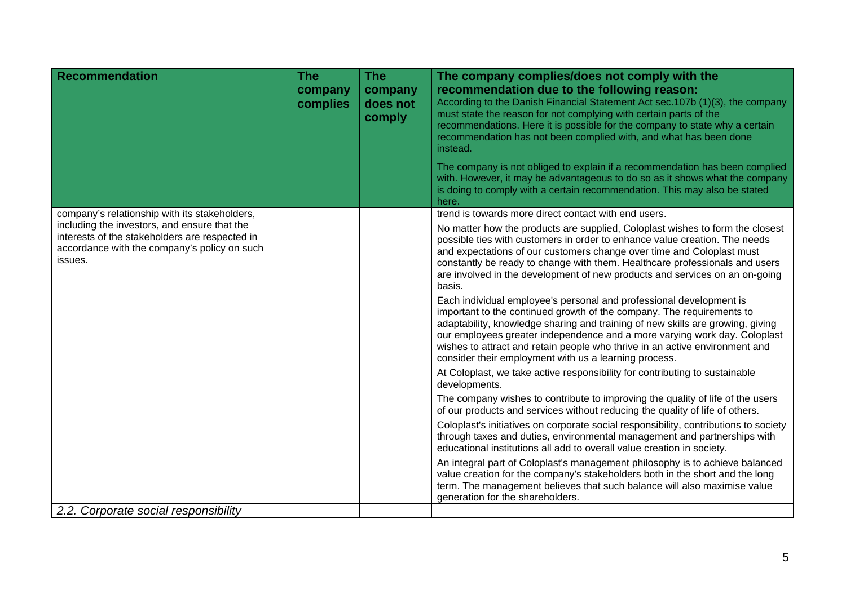| <b>Recommendation</b>                                                                                                                                     | The<br>company<br>complies | The<br>company<br>does not<br>comply | The company complies/does not comply with the<br>recommendation due to the following reason:<br>According to the Danish Financial Statement Act sec.107b (1)(3), the company<br>must state the reason for not complying with certain parts of the<br>recommendations. Here it is possible for the company to state why a certain<br>recommendation has not been complied with, and what has been done<br>instead.<br>The company is not obliged to explain if a recommendation has been complied<br>with. However, it may be advantageous to do so as it shows what the company |
|-----------------------------------------------------------------------------------------------------------------------------------------------------------|----------------------------|--------------------------------------|---------------------------------------------------------------------------------------------------------------------------------------------------------------------------------------------------------------------------------------------------------------------------------------------------------------------------------------------------------------------------------------------------------------------------------------------------------------------------------------------------------------------------------------------------------------------------------|
|                                                                                                                                                           |                            |                                      | is doing to comply with a certain recommendation. This may also be stated<br>here.                                                                                                                                                                                                                                                                                                                                                                                                                                                                                              |
| company's relationship with its stakeholders,                                                                                                             |                            |                                      | trend is towards more direct contact with end users.                                                                                                                                                                                                                                                                                                                                                                                                                                                                                                                            |
| including the investors, and ensure that the<br>interests of the stakeholders are respected in<br>accordance with the company's policy on such<br>issues. |                            |                                      | No matter how the products are supplied, Coloplast wishes to form the closest<br>possible ties with customers in order to enhance value creation. The needs<br>and expectations of our customers change over time and Coloplast must<br>constantly be ready to change with them. Healthcare professionals and users<br>are involved in the development of new products and services on an on-going<br>basis.                                                                                                                                                                    |
|                                                                                                                                                           |                            |                                      | Each individual employee's personal and professional development is<br>important to the continued growth of the company. The requirements to<br>adaptability, knowledge sharing and training of new skills are growing, giving<br>our employees greater independence and a more varying work day. Coloplast<br>wishes to attract and retain people who thrive in an active environment and<br>consider their employment with us a learning process.                                                                                                                             |
|                                                                                                                                                           |                            |                                      | At Coloplast, we take active responsibility for contributing to sustainable<br>developments.                                                                                                                                                                                                                                                                                                                                                                                                                                                                                    |
|                                                                                                                                                           |                            |                                      | The company wishes to contribute to improving the quality of life of the users<br>of our products and services without reducing the quality of life of others.                                                                                                                                                                                                                                                                                                                                                                                                                  |
|                                                                                                                                                           |                            |                                      | Coloplast's initiatives on corporate social responsibility, contributions to society<br>through taxes and duties, environmental management and partnerships with<br>educational institutions all add to overall value creation in society.                                                                                                                                                                                                                                                                                                                                      |
|                                                                                                                                                           |                            |                                      | An integral part of Coloplast's management philosophy is to achieve balanced<br>value creation for the company's stakeholders both in the short and the long<br>term. The management believes that such balance will also maximise value<br>generation for the shareholders.                                                                                                                                                                                                                                                                                                    |
| 2.2. Corporate social responsibility                                                                                                                      |                            |                                      |                                                                                                                                                                                                                                                                                                                                                                                                                                                                                                                                                                                 |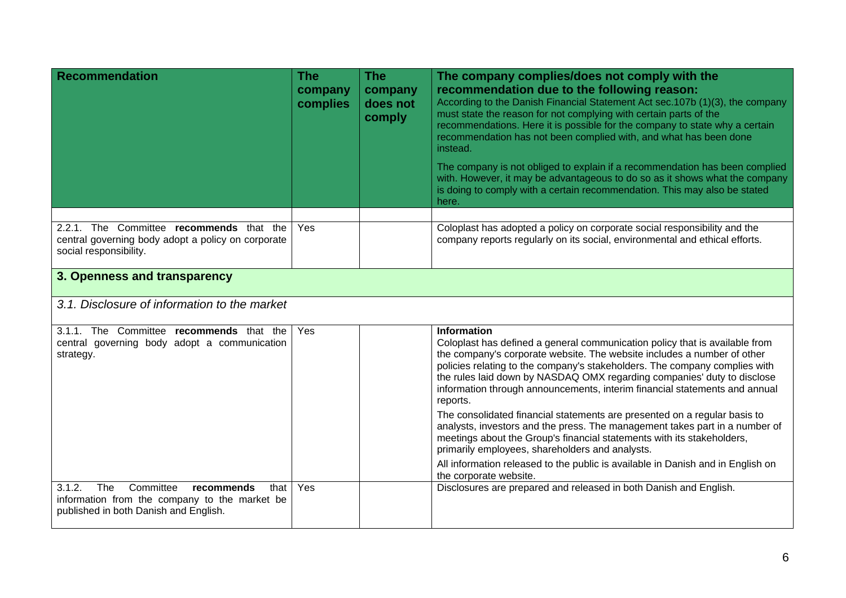| <b>Recommendation</b>                                                                                                                      | <b>The</b><br>company<br>complies | <b>The</b><br>company<br>does not<br>comply | The company complies/does not comply with the<br>recommendation due to the following reason:<br>According to the Danish Financial Statement Act sec.107b (1)(3), the company<br>must state the reason for not complying with certain parts of the<br>recommendations. Here it is possible for the company to state why a certain<br>recommendation has not been complied with, and what has been done<br>instead.<br>The company is not obliged to explain if a recommendation has been complied<br>with. However, it may be advantageous to do so as it shows what the company<br>is doing to comply with a certain recommendation. This may also be stated<br>here.                                                    |  |  |
|--------------------------------------------------------------------------------------------------------------------------------------------|-----------------------------------|---------------------------------------------|--------------------------------------------------------------------------------------------------------------------------------------------------------------------------------------------------------------------------------------------------------------------------------------------------------------------------------------------------------------------------------------------------------------------------------------------------------------------------------------------------------------------------------------------------------------------------------------------------------------------------------------------------------------------------------------------------------------------------|--|--|
|                                                                                                                                            |                                   |                                             |                                                                                                                                                                                                                                                                                                                                                                                                                                                                                                                                                                                                                                                                                                                          |  |  |
| 2.2.1. The Committee recommends that the<br>central governing body adopt a policy on corporate<br>social responsibility.                   | Yes                               |                                             | Coloplast has adopted a policy on corporate social responsibility and the<br>company reports regularly on its social, environmental and ethical efforts.                                                                                                                                                                                                                                                                                                                                                                                                                                                                                                                                                                 |  |  |
| 3. Openness and transparency                                                                                                               |                                   |                                             |                                                                                                                                                                                                                                                                                                                                                                                                                                                                                                                                                                                                                                                                                                                          |  |  |
| 3.1. Disclosure of information to the market                                                                                               |                                   |                                             |                                                                                                                                                                                                                                                                                                                                                                                                                                                                                                                                                                                                                                                                                                                          |  |  |
| 3.1.1. The Committee recommends that the<br>central governing body adopt a communication<br>strategy.                                      | Yes                               |                                             | <b>Information</b><br>Coloplast has defined a general communication policy that is available from<br>the company's corporate website. The website includes a number of other<br>policies relating to the company's stakeholders. The company complies with<br>the rules laid down by NASDAQ OMX regarding companies' duty to disclose<br>information through announcements, interim financial statements and annual<br>reports.<br>The consolidated financial statements are presented on a regular basis to<br>analysts, investors and the press. The management takes part in a number of<br>meetings about the Group's financial statements with its stakeholders,<br>primarily employees, shareholders and analysts. |  |  |
|                                                                                                                                            |                                   |                                             | All information released to the public is available in Danish and in English on<br>the corporate website.                                                                                                                                                                                                                                                                                                                                                                                                                                                                                                                                                                                                                |  |  |
| The<br>3.1.2.<br>Committee<br>recommends<br>that<br>information from the company to the market be<br>published in both Danish and English. | Yes                               |                                             | Disclosures are prepared and released in both Danish and English.                                                                                                                                                                                                                                                                                                                                                                                                                                                                                                                                                                                                                                                        |  |  |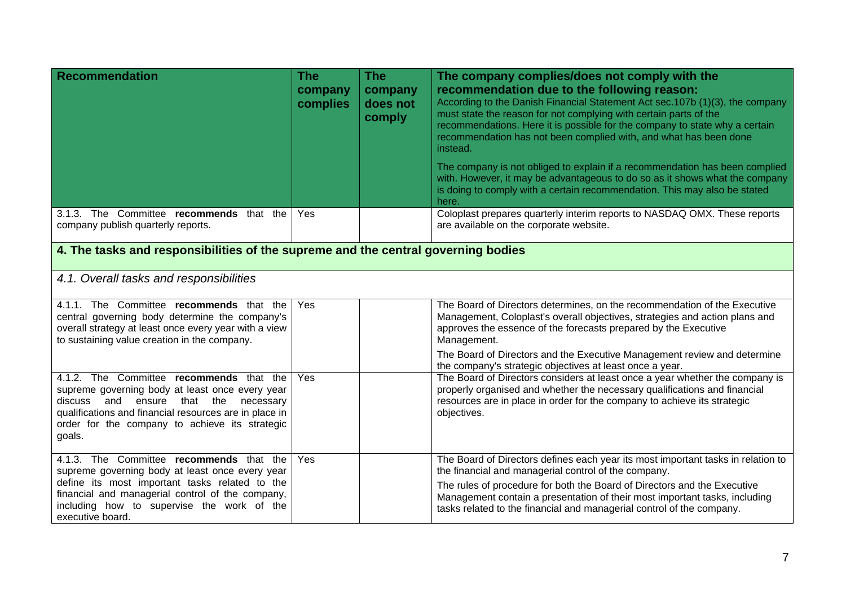| <b>Recommendation</b>                                                                                                                                                                                                                                               | <b>The</b><br>company<br>complies | <b>The</b><br>company<br>does not<br>comply | The company complies/does not comply with the<br>recommendation due to the following reason:<br>According to the Danish Financial Statement Act sec. 107b (1)(3), the company<br>must state the reason for not complying with certain parts of the<br>recommendations. Here it is possible for the company to state why a certain<br>recommendation has not been complied with, and what has been done<br>instead.<br>The company is not obliged to explain if a recommendation has been complied<br>with. However, it may be advantageous to do so as it shows what the company<br>is doing to comply with a certain recommendation. This may also be stated<br>here. |
|---------------------------------------------------------------------------------------------------------------------------------------------------------------------------------------------------------------------------------------------------------------------|-----------------------------------|---------------------------------------------|------------------------------------------------------------------------------------------------------------------------------------------------------------------------------------------------------------------------------------------------------------------------------------------------------------------------------------------------------------------------------------------------------------------------------------------------------------------------------------------------------------------------------------------------------------------------------------------------------------------------------------------------------------------------|
| 3.1.3. The Committee recommends that the<br>company publish quarterly reports.                                                                                                                                                                                      | Yes                               |                                             | Coloplast prepares quarterly interim reports to NASDAQ OMX. These reports<br>are available on the corporate website.                                                                                                                                                                                                                                                                                                                                                                                                                                                                                                                                                   |
| 4. The tasks and responsibilities of the supreme and the central governing bodies                                                                                                                                                                                   |                                   |                                             |                                                                                                                                                                                                                                                                                                                                                                                                                                                                                                                                                                                                                                                                        |
| 4.1. Overall tasks and responsibilities                                                                                                                                                                                                                             |                                   |                                             |                                                                                                                                                                                                                                                                                                                                                                                                                                                                                                                                                                                                                                                                        |
| 4.1.1. The Committee recommends that the<br>central governing body determine the company's<br>overall strategy at least once every year with a view<br>to sustaining value creation in the company.                                                                 | Yes                               |                                             | The Board of Directors determines, on the recommendation of the Executive<br>Management, Coloplast's overall objectives, strategies and action plans and<br>approves the essence of the forecasts prepared by the Executive<br>Management.                                                                                                                                                                                                                                                                                                                                                                                                                             |
|                                                                                                                                                                                                                                                                     |                                   |                                             | The Board of Directors and the Executive Management review and determine<br>the company's strategic objectives at least once a year.                                                                                                                                                                                                                                                                                                                                                                                                                                                                                                                                   |
| 4.1.2. The Committee recommends that the<br>supreme governing body at least once every year<br>discuss and<br>ensure that<br>the<br>necessary<br>qualifications and financial resources are in place in<br>order for the company to achieve its strategic<br>goals. | Yes                               |                                             | The Board of Directors considers at least once a year whether the company is<br>properly organised and whether the necessary qualifications and financial<br>resources are in place in order for the company to achieve its strategic<br>objectives.                                                                                                                                                                                                                                                                                                                                                                                                                   |
| 4.1.3. The Committee recommends that the<br>supreme governing body at least once every year<br>define its most important tasks related to the<br>financial and managerial control of the company,<br>including how to supervise the work of the<br>executive board. | Yes                               |                                             | The Board of Directors defines each year its most important tasks in relation to<br>the financial and managerial control of the company.<br>The rules of procedure for both the Board of Directors and the Executive<br>Management contain a presentation of their most important tasks, including<br>tasks related to the financial and managerial control of the company.                                                                                                                                                                                                                                                                                            |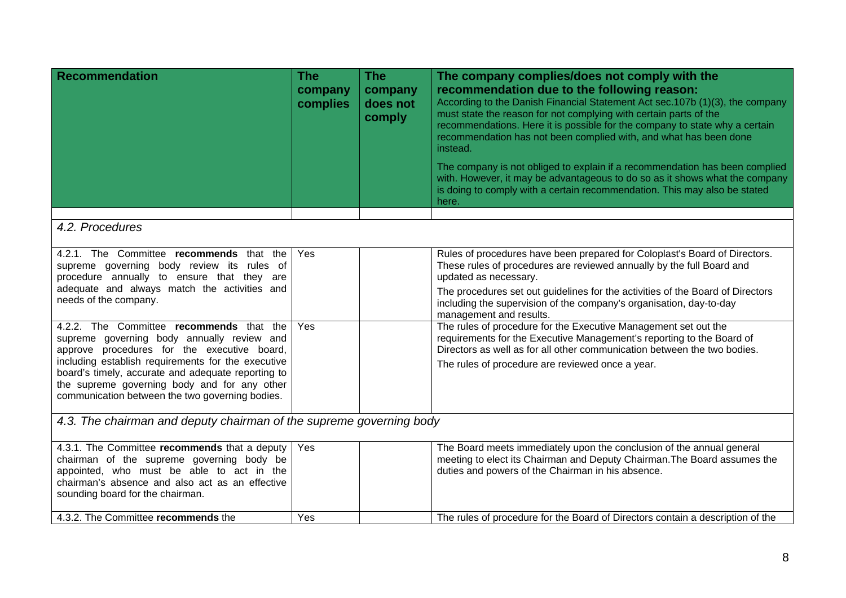| <b>Recommendation</b>                                                                                                                                                                                                                                                                                                                                                                                                                                                                                                                                                 | <b>The</b><br>company<br>complies | <b>The</b><br>company<br>does not<br>comply | The company complies/does not comply with the<br>recommendation due to the following reason:<br>According to the Danish Financial Statement Act sec.107b (1)(3), the company<br>must state the reason for not complying with certain parts of the<br>recommendations. Here it is possible for the company to state why a certain<br>recommendation has not been complied with, and what has been done<br>instead.<br>The company is not obliged to explain if a recommendation has been complied<br>with. However, it may be advantageous to do so as it shows what the company<br>is doing to comply with a certain recommendation. This may also be stated<br>here. |
|-----------------------------------------------------------------------------------------------------------------------------------------------------------------------------------------------------------------------------------------------------------------------------------------------------------------------------------------------------------------------------------------------------------------------------------------------------------------------------------------------------------------------------------------------------------------------|-----------------------------------|---------------------------------------------|-----------------------------------------------------------------------------------------------------------------------------------------------------------------------------------------------------------------------------------------------------------------------------------------------------------------------------------------------------------------------------------------------------------------------------------------------------------------------------------------------------------------------------------------------------------------------------------------------------------------------------------------------------------------------|
|                                                                                                                                                                                                                                                                                                                                                                                                                                                                                                                                                                       |                                   |                                             |                                                                                                                                                                                                                                                                                                                                                                                                                                                                                                                                                                                                                                                                       |
| 4.2. Procedures                                                                                                                                                                                                                                                                                                                                                                                                                                                                                                                                                       |                                   |                                             |                                                                                                                                                                                                                                                                                                                                                                                                                                                                                                                                                                                                                                                                       |
| 4.2.1. The Committee recommends that the<br>supreme governing body review its rules of<br>procedure annually to ensure that they are<br>adequate and always match the activities and<br>needs of the company.<br>4.2.2. The Committee recommends that the<br>supreme governing body annually review and<br>approve procedures for the executive board,<br>including establish requirements for the executive<br>board's timely, accurate and adequate reporting to<br>the supreme governing body and for any other<br>communication between the two governing bodies. | Yes<br>Yes                        |                                             | Rules of procedures have been prepared for Coloplast's Board of Directors.<br>These rules of procedures are reviewed annually by the full Board and<br>updated as necessary.<br>The procedures set out guidelines for the activities of the Board of Directors<br>including the supervision of the company's organisation, day-to-day<br>management and results.<br>The rules of procedure for the Executive Management set out the<br>requirements for the Executive Management's reporting to the Board of<br>Directors as well as for all other communication between the two bodies.<br>The rules of procedure are reviewed once a year.                          |
| 4.3. The chairman and deputy chairman of the supreme governing body                                                                                                                                                                                                                                                                                                                                                                                                                                                                                                   |                                   |                                             |                                                                                                                                                                                                                                                                                                                                                                                                                                                                                                                                                                                                                                                                       |
| 4.3.1. The Committee recommends that a deputy<br>chairman of the supreme governing body be<br>appointed, who must be able to act in the<br>chairman's absence and also act as an effective<br>sounding board for the chairman.                                                                                                                                                                                                                                                                                                                                        | Yes                               |                                             | The Board meets immediately upon the conclusion of the annual general<br>meeting to elect its Chairman and Deputy Chairman. The Board assumes the<br>duties and powers of the Chairman in his absence.                                                                                                                                                                                                                                                                                                                                                                                                                                                                |
| 4.3.2. The Committee recommends the                                                                                                                                                                                                                                                                                                                                                                                                                                                                                                                                   | Yes                               |                                             | The rules of procedure for the Board of Directors contain a description of the                                                                                                                                                                                                                                                                                                                                                                                                                                                                                                                                                                                        |
|                                                                                                                                                                                                                                                                                                                                                                                                                                                                                                                                                                       |                                   |                                             |                                                                                                                                                                                                                                                                                                                                                                                                                                                                                                                                                                                                                                                                       |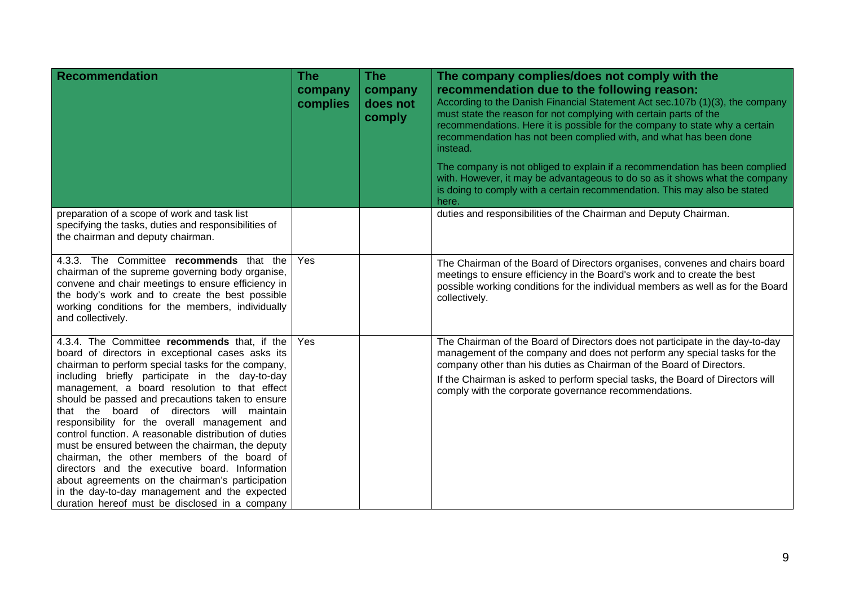| <b>Recommendation</b>                                                                                                                                                                                                                                                                                                                                                                                                                                                                                                                                                                                                                                                                                                                                                             | <b>The</b><br>company<br>complies | <b>The</b><br>company<br>does not<br>comply | The company complies/does not comply with the<br>recommendation due to the following reason:<br>According to the Danish Financial Statement Act sec. 107b (1)(3), the company<br>must state the reason for not complying with certain parts of the<br>recommendations. Here it is possible for the company to state why a certain<br>recommendation has not been complied with, and what has been done<br>instead.<br>The company is not obliged to explain if a recommendation has been complied |
|-----------------------------------------------------------------------------------------------------------------------------------------------------------------------------------------------------------------------------------------------------------------------------------------------------------------------------------------------------------------------------------------------------------------------------------------------------------------------------------------------------------------------------------------------------------------------------------------------------------------------------------------------------------------------------------------------------------------------------------------------------------------------------------|-----------------------------------|---------------------------------------------|---------------------------------------------------------------------------------------------------------------------------------------------------------------------------------------------------------------------------------------------------------------------------------------------------------------------------------------------------------------------------------------------------------------------------------------------------------------------------------------------------|
|                                                                                                                                                                                                                                                                                                                                                                                                                                                                                                                                                                                                                                                                                                                                                                                   |                                   |                                             | with. However, it may be advantageous to do so as it shows what the company<br>is doing to comply with a certain recommendation. This may also be stated<br>here.                                                                                                                                                                                                                                                                                                                                 |
| preparation of a scope of work and task list<br>specifying the tasks, duties and responsibilities of<br>the chairman and deputy chairman.                                                                                                                                                                                                                                                                                                                                                                                                                                                                                                                                                                                                                                         |                                   |                                             | duties and responsibilities of the Chairman and Deputy Chairman.                                                                                                                                                                                                                                                                                                                                                                                                                                  |
| 4.3.3. The Committee recommends that the<br>chairman of the supreme governing body organise,<br>convene and chair meetings to ensure efficiency in<br>the body's work and to create the best possible<br>working conditions for the members, individually<br>and collectively.                                                                                                                                                                                                                                                                                                                                                                                                                                                                                                    | Yes                               |                                             | The Chairman of the Board of Directors organises, convenes and chairs board<br>meetings to ensure efficiency in the Board's work and to create the best<br>possible working conditions for the individual members as well as for the Board<br>collectively.                                                                                                                                                                                                                                       |
| 4.3.4. The Committee recommends that, if the<br>board of directors in exceptional cases asks its<br>chairman to perform special tasks for the company,<br>including briefly participate in the day-to-day<br>management, a board resolution to that effect<br>should be passed and precautions taken to ensure<br>that the board of directors will maintain<br>responsibility for the overall management and<br>control function. A reasonable distribution of duties<br>must be ensured between the chairman, the deputy<br>chairman, the other members of the board of<br>directors and the executive board. Information<br>about agreements on the chairman's participation<br>in the day-to-day management and the expected<br>duration hereof must be disclosed in a company | <b>Yes</b>                        |                                             | The Chairman of the Board of Directors does not participate in the day-to-day<br>management of the company and does not perform any special tasks for the<br>company other than his duties as Chairman of the Board of Directors.<br>If the Chairman is asked to perform special tasks, the Board of Directors will<br>comply with the corporate governance recommendations.                                                                                                                      |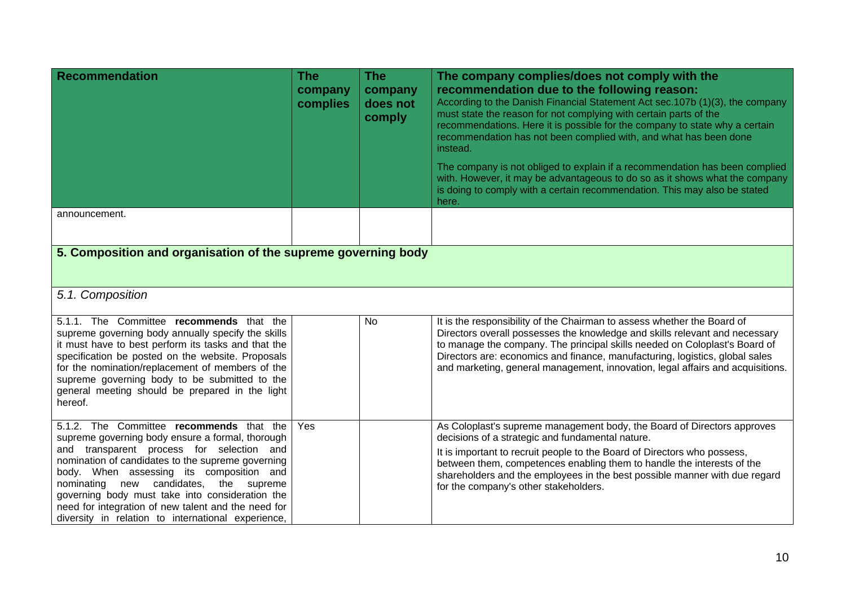| <b>Recommendation</b>                                                                                                                                                                                                                                                                                                                                                                                                                                | <b>The</b><br>company<br>complies | <b>The</b><br>company<br>does not<br>comply | The company complies/does not comply with the<br>recommendation due to the following reason:<br>According to the Danish Financial Statement Act sec. 107b (1)(3), the company<br>must state the reason for not complying with certain parts of the<br>recommendations. Here it is possible for the company to state why a certain<br>recommendation has not been complied with, and what has been done<br>instead.<br>The company is not obliged to explain if a recommendation has been complied<br>with. However, it may be advantageous to do so as it shows what the company<br>is doing to comply with a certain recommendation. This may also be stated<br>here. |  |  |
|------------------------------------------------------------------------------------------------------------------------------------------------------------------------------------------------------------------------------------------------------------------------------------------------------------------------------------------------------------------------------------------------------------------------------------------------------|-----------------------------------|---------------------------------------------|------------------------------------------------------------------------------------------------------------------------------------------------------------------------------------------------------------------------------------------------------------------------------------------------------------------------------------------------------------------------------------------------------------------------------------------------------------------------------------------------------------------------------------------------------------------------------------------------------------------------------------------------------------------------|--|--|
| announcement.                                                                                                                                                                                                                                                                                                                                                                                                                                        |                                   |                                             |                                                                                                                                                                                                                                                                                                                                                                                                                                                                                                                                                                                                                                                                        |  |  |
| 5. Composition and organisation of the supreme governing body                                                                                                                                                                                                                                                                                                                                                                                        |                                   |                                             |                                                                                                                                                                                                                                                                                                                                                                                                                                                                                                                                                                                                                                                                        |  |  |
| 5.1. Composition                                                                                                                                                                                                                                                                                                                                                                                                                                     |                                   |                                             |                                                                                                                                                                                                                                                                                                                                                                                                                                                                                                                                                                                                                                                                        |  |  |
| 5.1.1. The Committee recommends that the<br>supreme governing body annually specify the skills<br>it must have to best perform its tasks and that the<br>specification be posted on the website. Proposals<br>for the nomination/replacement of members of the<br>supreme governing body to be submitted to the<br>general meeting should be prepared in the light<br>hereof.                                                                        |                                   | No                                          | It is the responsibility of the Chairman to assess whether the Board of<br>Directors overall possesses the knowledge and skills relevant and necessary<br>to manage the company. The principal skills needed on Coloplast's Board of<br>Directors are: economics and finance, manufacturing, logistics, global sales<br>and marketing, general management, innovation, legal affairs and acquisitions.                                                                                                                                                                                                                                                                 |  |  |
| 5.1.2. The Committee recommends that the<br>supreme governing body ensure a formal, thorough<br>and transparent process for selection and<br>nomination of candidates to the supreme governing<br>body. When assessing its composition and<br>nominating new candidates, the supreme<br>governing body must take into consideration the<br>need for integration of new talent and the need for<br>diversity in relation to international experience, | Yes                               |                                             | As Coloplast's supreme management body, the Board of Directors approves<br>decisions of a strategic and fundamental nature.<br>It is important to recruit people to the Board of Directors who possess,<br>between them, competences enabling them to handle the interests of the<br>shareholders and the employees in the best possible manner with due regard<br>for the company's other stakeholders.                                                                                                                                                                                                                                                               |  |  |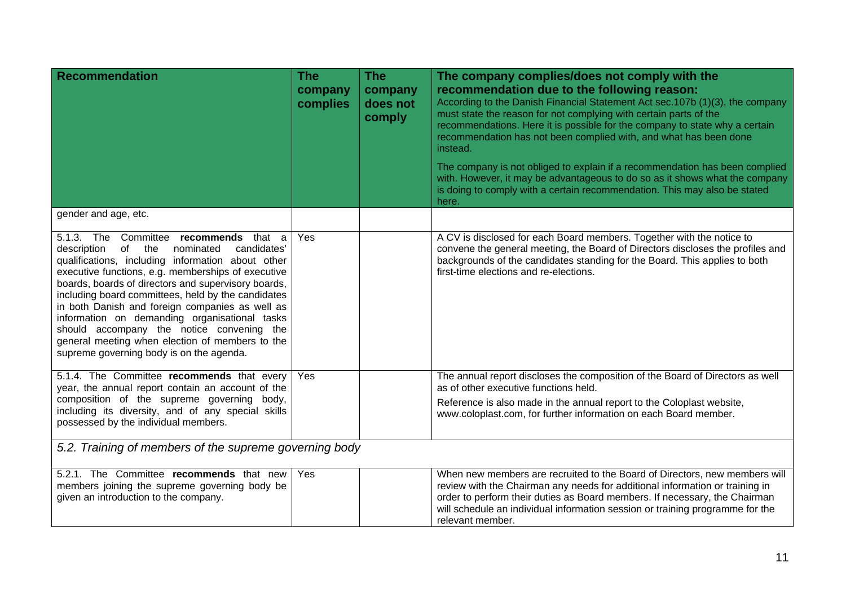| <b>Recommendation</b>                                                                                                                                                                                                                                                                                                                                                                                                                                                                                                                                               | <b>The</b><br>company<br>complies | <b>The</b><br>company<br>does not<br>comply | The company complies/does not comply with the<br>recommendation due to the following reason:<br>According to the Danish Financial Statement Act sec. 107b (1)(3), the company<br>must state the reason for not complying with certain parts of the<br>recommendations. Here it is possible for the company to state why a certain<br>recommendation has not been complied with, and what has been done<br>instead.<br>The company is not obliged to explain if a recommendation has been complied<br>with. However, it may be advantageous to do so as it shows what the company<br>is doing to comply with a certain recommendation. This may also be stated<br>here. |
|---------------------------------------------------------------------------------------------------------------------------------------------------------------------------------------------------------------------------------------------------------------------------------------------------------------------------------------------------------------------------------------------------------------------------------------------------------------------------------------------------------------------------------------------------------------------|-----------------------------------|---------------------------------------------|------------------------------------------------------------------------------------------------------------------------------------------------------------------------------------------------------------------------------------------------------------------------------------------------------------------------------------------------------------------------------------------------------------------------------------------------------------------------------------------------------------------------------------------------------------------------------------------------------------------------------------------------------------------------|
| gender and age, etc.                                                                                                                                                                                                                                                                                                                                                                                                                                                                                                                                                |                                   |                                             |                                                                                                                                                                                                                                                                                                                                                                                                                                                                                                                                                                                                                                                                        |
| 5.1.3. The Committee recommends that a<br>of the<br>candidates'<br>description<br>nominated<br>qualifications, including information about other<br>executive functions, e.g. memberships of executive<br>boards, boards of directors and supervisory boards,<br>including board committees, held by the candidates<br>in both Danish and foreign companies as well as<br>information on demanding organisational tasks<br>should accompany the notice convening the<br>general meeting when election of members to the<br>supreme governing body is on the agenda. | Yes                               |                                             | A CV is disclosed for each Board members. Together with the notice to<br>convene the general meeting, the Board of Directors discloses the profiles and<br>backgrounds of the candidates standing for the Board. This applies to both<br>first-time elections and re-elections.                                                                                                                                                                                                                                                                                                                                                                                        |
| 5.1.4. The Committee recommends that every<br>year, the annual report contain an account of the                                                                                                                                                                                                                                                                                                                                                                                                                                                                     | Yes                               |                                             | The annual report discloses the composition of the Board of Directors as well<br>as of other executive functions held.                                                                                                                                                                                                                                                                                                                                                                                                                                                                                                                                                 |
| composition of the supreme governing body,<br>including its diversity, and of any special skills<br>possessed by the individual members.                                                                                                                                                                                                                                                                                                                                                                                                                            |                                   |                                             | Reference is also made in the annual report to the Coloplast website,<br>www.coloplast.com, for further information on each Board member.                                                                                                                                                                                                                                                                                                                                                                                                                                                                                                                              |
| 5.2. Training of members of the supreme governing body                                                                                                                                                                                                                                                                                                                                                                                                                                                                                                              |                                   |                                             |                                                                                                                                                                                                                                                                                                                                                                                                                                                                                                                                                                                                                                                                        |
| 5.2.1. The Committee recommends that new<br>members joining the supreme governing body be<br>given an introduction to the company.                                                                                                                                                                                                                                                                                                                                                                                                                                  | Yes                               |                                             | When new members are recruited to the Board of Directors, new members will<br>review with the Chairman any needs for additional information or training in<br>order to perform their duties as Board members. If necessary, the Chairman<br>will schedule an individual information session or training programme for the<br>relevant member.                                                                                                                                                                                                                                                                                                                          |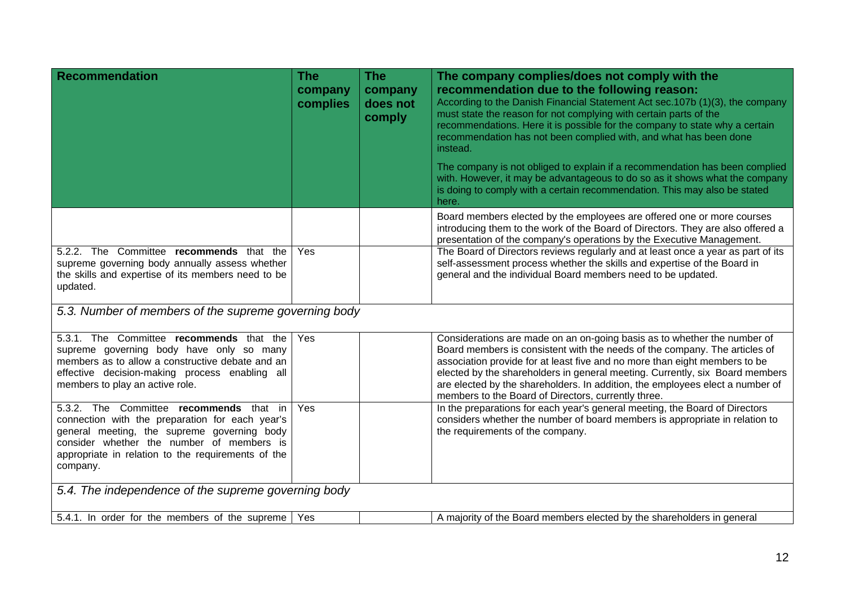| <b>Recommendation</b>                                                                                                                                                                                                                                    | <b>The</b><br>company<br>complies | The<br>company<br>does not<br>comply | The company complies/does not comply with the<br>recommendation due to the following reason:<br>According to the Danish Financial Statement Act sec.107b (1)(3), the company<br>must state the reason for not complying with certain parts of the<br>recommendations. Here it is possible for the company to state why a certain                                                                                                                             |  |  |
|----------------------------------------------------------------------------------------------------------------------------------------------------------------------------------------------------------------------------------------------------------|-----------------------------------|--------------------------------------|--------------------------------------------------------------------------------------------------------------------------------------------------------------------------------------------------------------------------------------------------------------------------------------------------------------------------------------------------------------------------------------------------------------------------------------------------------------|--|--|
|                                                                                                                                                                                                                                                          |                                   |                                      | recommendation has not been complied with, and what has been done<br>instead.                                                                                                                                                                                                                                                                                                                                                                                |  |  |
|                                                                                                                                                                                                                                                          |                                   |                                      | The company is not obliged to explain if a recommendation has been complied<br>with. However, it may be advantageous to do so as it shows what the company<br>is doing to comply with a certain recommendation. This may also be stated<br>here.                                                                                                                                                                                                             |  |  |
|                                                                                                                                                                                                                                                          |                                   |                                      | Board members elected by the employees are offered one or more courses<br>introducing them to the work of the Board of Directors. They are also offered a<br>presentation of the company's operations by the Executive Management.                                                                                                                                                                                                                           |  |  |
| 5.2.2. The Committee recommends that the<br>supreme governing body annually assess whether<br>the skills and expertise of its members need to be<br>updated.                                                                                             | Yes                               |                                      | The Board of Directors reviews regularly and at least once a year as part of its<br>self-assessment process whether the skills and expertise of the Board in<br>general and the individual Board members need to be updated.                                                                                                                                                                                                                                 |  |  |
| 5.3. Number of members of the supreme governing body                                                                                                                                                                                                     |                                   |                                      |                                                                                                                                                                                                                                                                                                                                                                                                                                                              |  |  |
| 5.3.1. The Committee recommends that the<br>supreme governing body have only so many<br>members as to allow a constructive debate and an<br>effective decision-making process enabling all<br>members to play an active role.                            | Yes                               |                                      | Considerations are made on an on-going basis as to whether the number of<br>Board members is consistent with the needs of the company. The articles of<br>association provide for at least five and no more than eight members to be<br>elected by the shareholders in general meeting. Currently, six Board members<br>are elected by the shareholders. In addition, the employees elect a number of<br>members to the Board of Directors, currently three. |  |  |
| 5.3.2. The Committee recommends that in<br>connection with the preparation for each year's<br>general meeting, the supreme governing body<br>consider whether the number of members is<br>appropriate in relation to the requirements of the<br>company. | Yes                               |                                      | In the preparations for each year's general meeting, the Board of Directors<br>considers whether the number of board members is appropriate in relation to<br>the requirements of the company.                                                                                                                                                                                                                                                               |  |  |
| 5.4. The independence of the supreme governing body                                                                                                                                                                                                      |                                   |                                      |                                                                                                                                                                                                                                                                                                                                                                                                                                                              |  |  |
| 5.4.1. In order for the members of the supreme                                                                                                                                                                                                           | Yes                               |                                      | A majority of the Board members elected by the shareholders in general                                                                                                                                                                                                                                                                                                                                                                                       |  |  |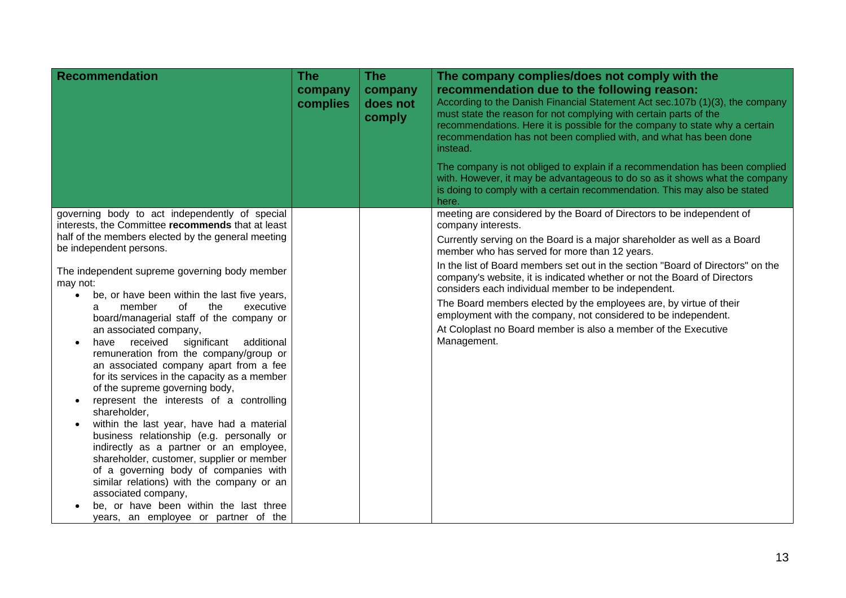| <b>Recommendation</b>                                                                                                                                                                                                                                                                                                                                                                                                                    | <b>The</b><br>company<br>complies | <b>The</b><br>company<br>does not<br>comply | The company complies/does not comply with the<br>recommendation due to the following reason:<br>According to the Danish Financial Statement Act sec.107b (1)(3), the company<br>must state the reason for not complying with certain parts of the<br>recommendations. Here it is possible for the company to state why a certain<br>recommendation has not been complied with, and what has been done<br>instead.<br>The company is not obliged to explain if a recommendation has been complied<br>with. However, it may be advantageous to do so as it shows what the company<br>is doing to comply with a certain recommendation. This may also be stated |
|------------------------------------------------------------------------------------------------------------------------------------------------------------------------------------------------------------------------------------------------------------------------------------------------------------------------------------------------------------------------------------------------------------------------------------------|-----------------------------------|---------------------------------------------|--------------------------------------------------------------------------------------------------------------------------------------------------------------------------------------------------------------------------------------------------------------------------------------------------------------------------------------------------------------------------------------------------------------------------------------------------------------------------------------------------------------------------------------------------------------------------------------------------------------------------------------------------------------|
|                                                                                                                                                                                                                                                                                                                                                                                                                                          |                                   |                                             | here.                                                                                                                                                                                                                                                                                                                                                                                                                                                                                                                                                                                                                                                        |
| governing body to act independently of special<br>interests, the Committee recommends that at least                                                                                                                                                                                                                                                                                                                                      |                                   |                                             | meeting are considered by the Board of Directors to be independent of<br>company interests.                                                                                                                                                                                                                                                                                                                                                                                                                                                                                                                                                                  |
| half of the members elected by the general meeting<br>be independent persons.                                                                                                                                                                                                                                                                                                                                                            |                                   |                                             | Currently serving on the Board is a major shareholder as well as a Board<br>member who has served for more than 12 years.                                                                                                                                                                                                                                                                                                                                                                                                                                                                                                                                    |
| The independent supreme governing body member<br>may not:<br>be, or have been within the last five years,<br>$\bullet$                                                                                                                                                                                                                                                                                                                   |                                   |                                             | In the list of Board members set out in the section "Board of Directors" on the<br>company's website, it is indicated whether or not the Board of Directors<br>considers each individual member to be independent.                                                                                                                                                                                                                                                                                                                                                                                                                                           |
| member<br>the<br>of<br>executive<br>a<br>board/managerial staff of the company or                                                                                                                                                                                                                                                                                                                                                        |                                   |                                             | The Board members elected by the employees are, by virtue of their<br>employment with the company, not considered to be independent.                                                                                                                                                                                                                                                                                                                                                                                                                                                                                                                         |
| an associated company,<br>have received significant<br>additional<br>remuneration from the company/group or<br>an associated company apart from a fee<br>for its services in the capacity as a member<br>of the supreme governing body,<br>represent the interests of a controlling<br>shareholder,<br>within the last year, have had a material<br>business relationship (e.g. personally or<br>indirectly as a partner or an employee, |                                   |                                             | At Coloplast no Board member is also a member of the Executive<br>Management.                                                                                                                                                                                                                                                                                                                                                                                                                                                                                                                                                                                |
| shareholder, customer, supplier or member<br>of a governing body of companies with<br>similar relations) with the company or an<br>associated company,<br>be, or have been within the last three<br>years, an employee or partner of the                                                                                                                                                                                                 |                                   |                                             |                                                                                                                                                                                                                                                                                                                                                                                                                                                                                                                                                                                                                                                              |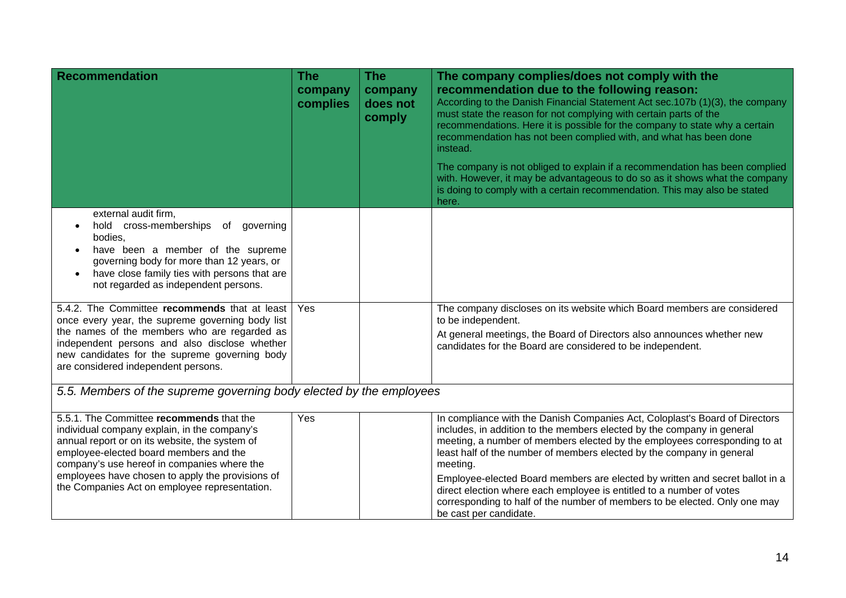| <b>Recommendation</b>                                                                                                                                                                                                                                                                                                                    | <b>The</b><br>company<br>complies | <b>The</b><br>company<br>does not<br>comply | The company complies/does not comply with the<br>recommendation due to the following reason:<br>According to the Danish Financial Statement Act sec.107b (1)(3), the company<br>must state the reason for not complying with certain parts of the<br>recommendations. Here it is possible for the company to state why a certain<br>recommendation has not been complied with, and what has been done<br>instead.<br>The company is not obliged to explain if a recommendation has been complied<br>with. However, it may be advantageous to do so as it shows what the company<br>is doing to comply with a certain recommendation. This may also be stated<br>here. |
|------------------------------------------------------------------------------------------------------------------------------------------------------------------------------------------------------------------------------------------------------------------------------------------------------------------------------------------|-----------------------------------|---------------------------------------------|-----------------------------------------------------------------------------------------------------------------------------------------------------------------------------------------------------------------------------------------------------------------------------------------------------------------------------------------------------------------------------------------------------------------------------------------------------------------------------------------------------------------------------------------------------------------------------------------------------------------------------------------------------------------------|
| external audit firm,<br>hold cross-memberships of<br>governing<br>bodies,<br>have been a member of the supreme<br>governing body for more than 12 years, or<br>have close family ties with persons that are<br>not regarded as independent persons.                                                                                      |                                   |                                             |                                                                                                                                                                                                                                                                                                                                                                                                                                                                                                                                                                                                                                                                       |
| 5.4.2. The Committee recommends that at least<br>once every year, the supreme governing body list<br>the names of the members who are regarded as<br>independent persons and also disclose whether<br>new candidates for the supreme governing body<br>are considered independent persons.                                               | Yes                               |                                             | The company discloses on its website which Board members are considered<br>to be independent.<br>At general meetings, the Board of Directors also announces whether new<br>candidates for the Board are considered to be independent.                                                                                                                                                                                                                                                                                                                                                                                                                                 |
| 5.5. Members of the supreme governing body elected by the employees                                                                                                                                                                                                                                                                      |                                   |                                             |                                                                                                                                                                                                                                                                                                                                                                                                                                                                                                                                                                                                                                                                       |
| 5.5.1. The Committee recommends that the<br>individual company explain, in the company's<br>annual report or on its website, the system of<br>employee-elected board members and the<br>company's use hereof in companies where the<br>employees have chosen to apply the provisions of<br>the Companies Act on employee representation. | Yes                               |                                             | In compliance with the Danish Companies Act, Coloplast's Board of Directors<br>includes, in addition to the members elected by the company in general<br>meeting, a number of members elected by the employees corresponding to at<br>least half of the number of members elected by the company in general<br>meeting.<br>Employee-elected Board members are elected by written and secret ballot in a<br>direct election where each employee is entitled to a number of votes<br>corresponding to half of the number of members to be elected. Only one may<br>be cast per candidate.                                                                               |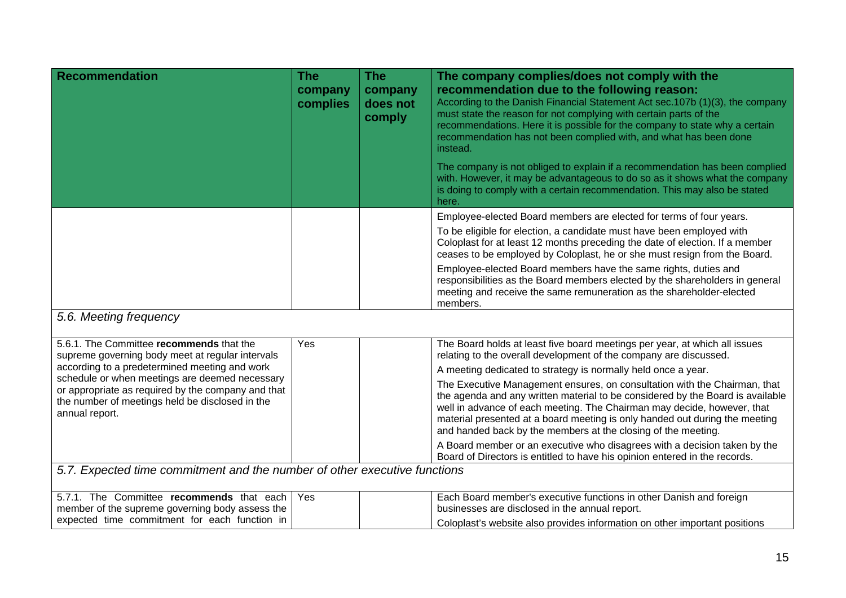| <b>Recommendation</b>                                                                                                                                                                           | <b>The</b><br>company<br>complies | <b>The</b><br>company<br>does not<br>comply | The company complies/does not comply with the<br>recommendation due to the following reason:<br>According to the Danish Financial Statement Act sec.107b (1)(3), the company<br>must state the reason for not complying with certain parts of the<br>recommendations. Here it is possible for the company to state why a certain<br>recommendation has not been complied with, and what has been done<br>instead.<br>The company is not obliged to explain if a recommendation has been complied<br>with. However, it may be advantageous to do so as it shows what the company<br>is doing to comply with a certain recommendation. This may also be stated<br>here. |
|-------------------------------------------------------------------------------------------------------------------------------------------------------------------------------------------------|-----------------------------------|---------------------------------------------|-----------------------------------------------------------------------------------------------------------------------------------------------------------------------------------------------------------------------------------------------------------------------------------------------------------------------------------------------------------------------------------------------------------------------------------------------------------------------------------------------------------------------------------------------------------------------------------------------------------------------------------------------------------------------|
|                                                                                                                                                                                                 |                                   |                                             | Employee-elected Board members are elected for terms of four years.<br>To be eligible for election, a candidate must have been employed with<br>Coloplast for at least 12 months preceding the date of election. If a member<br>ceases to be employed by Coloplast, he or she must resign from the Board.<br>Employee-elected Board members have the same rights, duties and<br>responsibilities as the Board members elected by the shareholders in general<br>meeting and receive the same remuneration as the shareholder-elected<br>members.                                                                                                                      |
| 5.6. Meeting frequency                                                                                                                                                                          |                                   |                                             |                                                                                                                                                                                                                                                                                                                                                                                                                                                                                                                                                                                                                                                                       |
| 5.6.1. The Committee recommends that the<br>supreme governing body meet at regular intervals<br>according to a predetermined meeting and work<br>schedule or when meetings are deemed necessary | Yes                               |                                             | The Board holds at least five board meetings per year, at which all issues<br>relating to the overall development of the company are discussed.<br>A meeting dedicated to strategy is normally held once a year.<br>The Freenthin Monographert convice on consultation with the Choisean that                                                                                                                                                                                                                                                                                                                                                                         |

| The Executive Management ensures, on consultation with the Chairman, that<br>the agenda and any written material to be considered by the Board is available                                                             |
|-------------------------------------------------------------------------------------------------------------------------------------------------------------------------------------------------------------------------|
| well in advance of each meeting. The Chairman may decide, however, that<br>material presented at a board meeting is only handed out during the meeting<br>and handed back by the members at the closing of the meeting. |

A Board member or an executive who disagrees with a decision taken by the Board of Directors is entitled to have his opinion entered in the records.

*5.7. Expected time commitment and the number of other executive functions* 

or appropriate as required by the company and that the number of meetings held be disclosed in the

annual report.

| 5.7.1. The Committee recommends that each   Yes | Each Board member's executive functions in other Danish and foreign           |
|-------------------------------------------------|-------------------------------------------------------------------------------|
| member of the supreme governing body assess the | businesses are disclosed in the annual report.                                |
| expected time commitment for each function in   | I Coloplast's website also provides information on other important positions_ |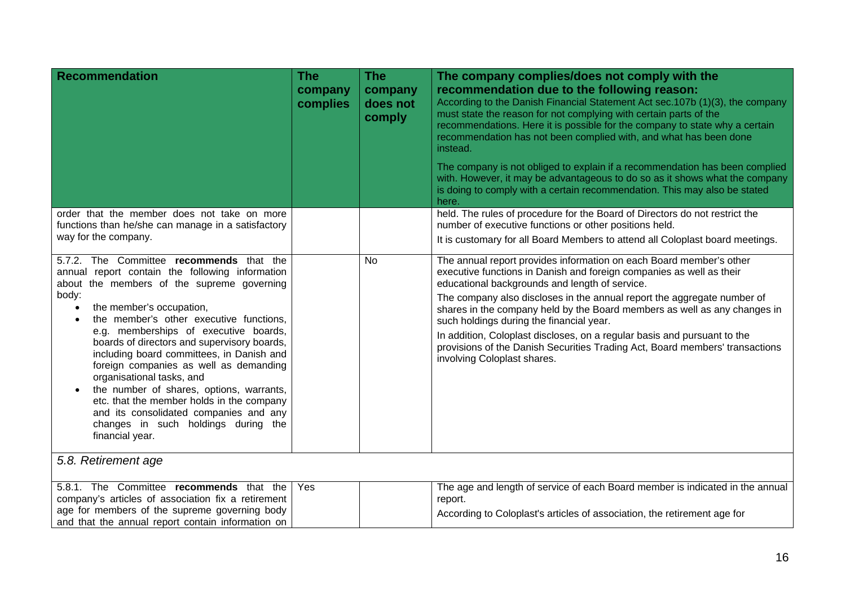| <b>Recommendation</b>                                                                                                                                                                                                                                                                                                                                                                                                                                                                                                                                                                                                                           | <b>The</b><br>company<br>complies | <b>The</b><br>company<br>does not<br>comply | The company complies/does not comply with the<br>recommendation due to the following reason:<br>According to the Danish Financial Statement Act sec. 107b (1)(3), the company<br>must state the reason for not complying with certain parts of the<br>recommendations. Here it is possible for the company to state why a certain<br>recommendation has not been complied with, and what has been done<br>instead.<br>The company is not obliged to explain if a recommendation has been complied<br>with. However, it may be advantageous to do so as it shows what the company<br>is doing to comply with a certain recommendation. This may also be stated<br>here. |
|-------------------------------------------------------------------------------------------------------------------------------------------------------------------------------------------------------------------------------------------------------------------------------------------------------------------------------------------------------------------------------------------------------------------------------------------------------------------------------------------------------------------------------------------------------------------------------------------------------------------------------------------------|-----------------------------------|---------------------------------------------|------------------------------------------------------------------------------------------------------------------------------------------------------------------------------------------------------------------------------------------------------------------------------------------------------------------------------------------------------------------------------------------------------------------------------------------------------------------------------------------------------------------------------------------------------------------------------------------------------------------------------------------------------------------------|
| order that the member does not take on more<br>functions than he/she can manage in a satisfactory<br>way for the company.                                                                                                                                                                                                                                                                                                                                                                                                                                                                                                                       |                                   |                                             | held. The rules of procedure for the Board of Directors do not restrict the<br>number of executive functions or other positions held.<br>It is customary for all Board Members to attend all Coloplast board meetings.                                                                                                                                                                                                                                                                                                                                                                                                                                                 |
| 5.7.2. The Committee recommends that the<br>annual report contain the following information<br>about the members of the supreme governing<br>body:<br>the member's occupation,<br>$\bullet$<br>the member's other executive functions,<br>e.g. memberships of executive boards,<br>boards of directors and supervisory boards,<br>including board committees, in Danish and<br>foreign companies as well as demanding<br>organisational tasks, and<br>the number of shares, options, warrants,<br>etc. that the member holds in the company<br>and its consolidated companies and any<br>changes in such holdings during the<br>financial year. |                                   | <b>No</b>                                   | The annual report provides information on each Board member's other<br>executive functions in Danish and foreign companies as well as their<br>educational backgrounds and length of service.<br>The company also discloses in the annual report the aggregate number of<br>shares in the company held by the Board members as well as any changes in<br>such holdings during the financial year.<br>In addition, Coloplast discloses, on a regular basis and pursuant to the<br>provisions of the Danish Securities Trading Act, Board members' transactions<br>involving Coloplast shares.                                                                           |
| 5.8. Retirement age                                                                                                                                                                                                                                                                                                                                                                                                                                                                                                                                                                                                                             |                                   |                                             |                                                                                                                                                                                                                                                                                                                                                                                                                                                                                                                                                                                                                                                                        |
| 5.8.1. The Committee recommends that the<br>company's articles of association fix a retirement<br>age for members of the supreme governing body<br>and that the annual report contain information on                                                                                                                                                                                                                                                                                                                                                                                                                                            | Yes                               |                                             | The age and length of service of each Board member is indicated in the annual<br>report.<br>According to Coloplast's articles of association, the retirement age for                                                                                                                                                                                                                                                                                                                                                                                                                                                                                                   |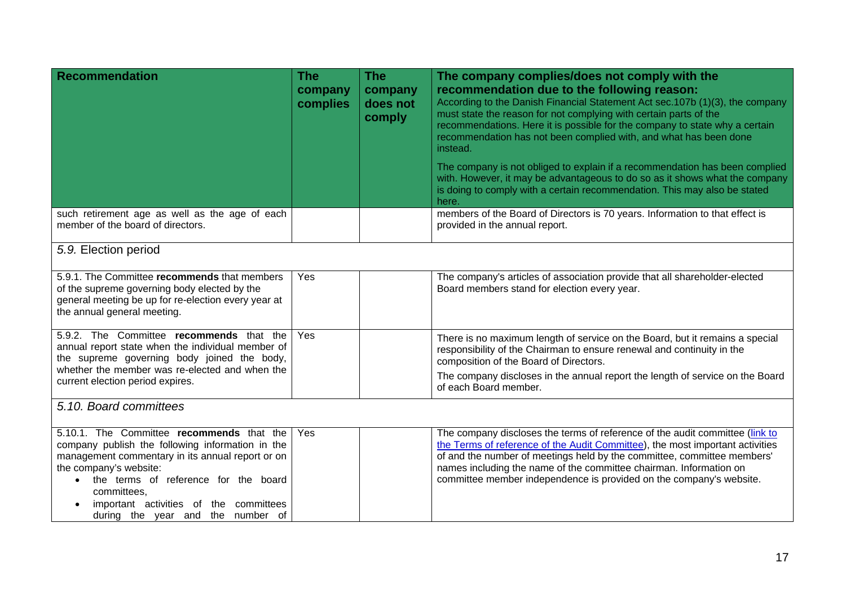| Recommendation                                                                                                                                                                                                                                                                                                                 | <b>The</b><br>company<br>complies | <b>The</b><br>company<br>does not<br>comply | The company complies/does not comply with the<br>recommendation due to the following reason:<br>According to the Danish Financial Statement Act sec.107b (1)(3), the company<br>must state the reason for not complying with certain parts of the<br>recommendations. Here it is possible for the company to state why a certain<br>recommendation has not been complied with, and what has been done<br>instead.<br>The company is not obliged to explain if a recommendation has been complied<br>with. However, it may be advantageous to do so as it shows what the company<br>is doing to comply with a certain recommendation. This may also be stated<br>here. |
|--------------------------------------------------------------------------------------------------------------------------------------------------------------------------------------------------------------------------------------------------------------------------------------------------------------------------------|-----------------------------------|---------------------------------------------|-----------------------------------------------------------------------------------------------------------------------------------------------------------------------------------------------------------------------------------------------------------------------------------------------------------------------------------------------------------------------------------------------------------------------------------------------------------------------------------------------------------------------------------------------------------------------------------------------------------------------------------------------------------------------|
| such retirement age as well as the age of each<br>member of the board of directors.                                                                                                                                                                                                                                            |                                   |                                             | members of the Board of Directors is 70 years. Information to that effect is<br>provided in the annual report.                                                                                                                                                                                                                                                                                                                                                                                                                                                                                                                                                        |
| 5.9. Election period                                                                                                                                                                                                                                                                                                           |                                   |                                             |                                                                                                                                                                                                                                                                                                                                                                                                                                                                                                                                                                                                                                                                       |
| 5.9.1. The Committee recommends that members<br>of the supreme governing body elected by the<br>general meeting be up for re-election every year at<br>the annual general meeting.                                                                                                                                             | Yes                               |                                             | The company's articles of association provide that all shareholder-elected<br>Board members stand for election every year.                                                                                                                                                                                                                                                                                                                                                                                                                                                                                                                                            |
| 5.9.2. The Committee recommends that the<br>annual report state when the individual member of<br>the supreme governing body joined the body,<br>whether the member was re-elected and when the<br>current election period expires.                                                                                             | Yes                               |                                             | There is no maximum length of service on the Board, but it remains a special<br>responsibility of the Chairman to ensure renewal and continuity in the<br>composition of the Board of Directors.<br>The company discloses in the annual report the length of service on the Board<br>of each Board member.                                                                                                                                                                                                                                                                                                                                                            |
| 5.10. Board committees                                                                                                                                                                                                                                                                                                         |                                   |                                             |                                                                                                                                                                                                                                                                                                                                                                                                                                                                                                                                                                                                                                                                       |
| 5.10.1. The Committee recommends that the<br>company publish the following information in the<br>management commentary in its annual report or on<br>the company's website:<br>the terms of reference for the board<br>$\bullet$<br>committees,<br>important activities of the committees<br>during the year and the number of | Yes                               |                                             | The company discloses the terms of reference of the audit committee (link to<br>the Terms of reference of the Audit Committee), the most important activities<br>of and the number of meetings held by the committee, committee members'<br>names including the name of the committee chairman. Information on<br>committee member independence is provided on the company's website.                                                                                                                                                                                                                                                                                 |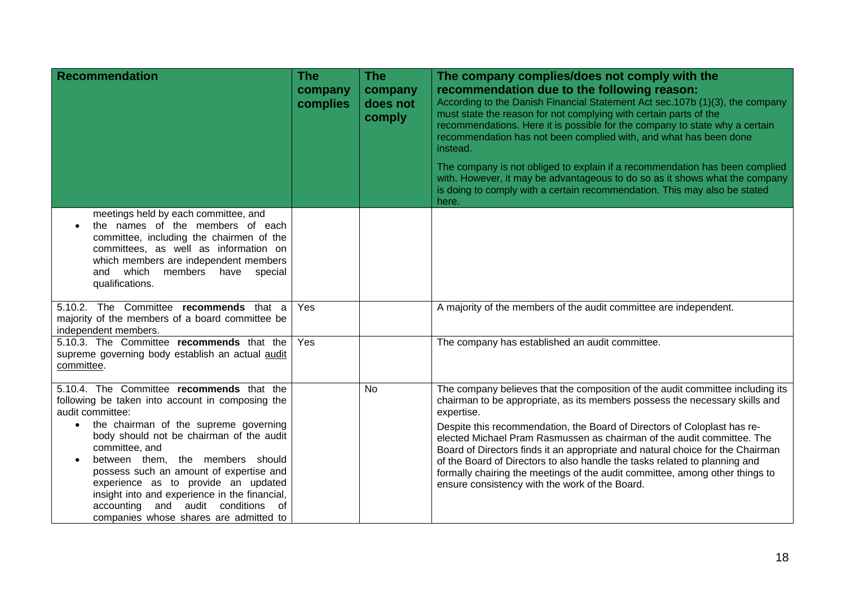| <b>Recommendation</b>                                                                                                                                                                                                                                                                                                          | <b>The</b><br>company<br>complies | <b>The</b><br>company<br>does not<br>comply | The company complies/does not comply with the<br>recommendation due to the following reason:<br>According to the Danish Financial Statement Act sec.107b (1)(3), the company<br>must state the reason for not complying with certain parts of the<br>recommendations. Here it is possible for the company to state why a certain<br>recommendation has not been complied with, and what has been done<br>instead.<br>The company is not obliged to explain if a recommendation has been complied |
|--------------------------------------------------------------------------------------------------------------------------------------------------------------------------------------------------------------------------------------------------------------------------------------------------------------------------------|-----------------------------------|---------------------------------------------|--------------------------------------------------------------------------------------------------------------------------------------------------------------------------------------------------------------------------------------------------------------------------------------------------------------------------------------------------------------------------------------------------------------------------------------------------------------------------------------------------|
|                                                                                                                                                                                                                                                                                                                                |                                   |                                             | with. However, it may be advantageous to do so as it shows what the company<br>is doing to comply with a certain recommendation. This may also be stated<br>here.                                                                                                                                                                                                                                                                                                                                |
| meetings held by each committee, and<br>the names of the members of each<br>committee, including the chairmen of the<br>committees, as well as information on<br>which members are independent members<br>members have special<br>and which<br>qualifications.                                                                 |                                   |                                             |                                                                                                                                                                                                                                                                                                                                                                                                                                                                                                  |
| 5.10.2. The Committee recommends that a<br>majority of the members of a board committee be<br>independent members.                                                                                                                                                                                                             | Yes                               |                                             | A majority of the members of the audit committee are independent.                                                                                                                                                                                                                                                                                                                                                                                                                                |
| 5.10.3. The Committee recommends that the<br>supreme governing body establish an actual audit<br>committee.                                                                                                                                                                                                                    | Yes                               |                                             | The company has established an audit committee.                                                                                                                                                                                                                                                                                                                                                                                                                                                  |
| 5.10.4. The Committee recommends that the<br>following be taken into account in composing the<br>audit committee:<br>the chairman of the supreme governing<br>$\bullet$                                                                                                                                                        |                                   | No                                          | The company believes that the composition of the audit committee including its<br>chairman to be appropriate, as its members possess the necessary skills and<br>expertise.                                                                                                                                                                                                                                                                                                                      |
| body should not be chairman of the audit<br>committee, and<br>between them, the members should<br>$\bullet$<br>possess such an amount of expertise and<br>experience as to provide an updated<br>insight into and experience in the financial,<br>accounting and audit conditions of<br>companies whose shares are admitted to |                                   |                                             | Despite this recommendation, the Board of Directors of Coloplast has re-<br>elected Michael Pram Rasmussen as chairman of the audit committee. The<br>Board of Directors finds it an appropriate and natural choice for the Chairman<br>of the Board of Directors to also handle the tasks related to planning and<br>formally chairing the meetings of the audit committee, among other things to<br>ensure consistency with the work of the Board.                                             |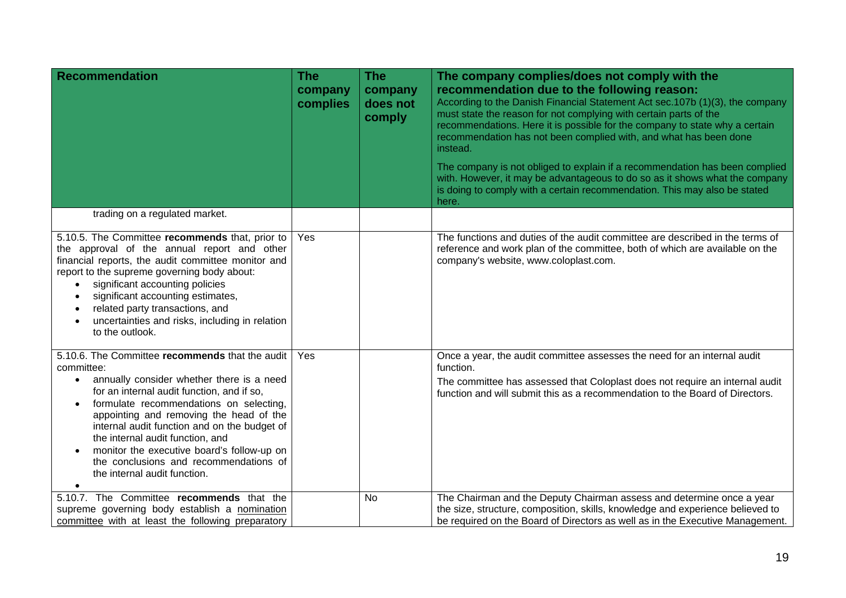| <b>Recommendation</b>                                                                                                                                                                                                                                                                                                                                                                                                                                                                | <b>The</b><br>company<br>complies | <b>The</b><br>company<br>does not<br>comply | The company complies/does not comply with the<br>recommendation due to the following reason:<br>According to the Danish Financial Statement Act sec.107b (1)(3), the company<br>must state the reason for not complying with certain parts of the<br>recommendations. Here it is possible for the company to state why a certain<br>recommendation has not been complied with, and what has been done<br>instead.<br>The company is not obliged to explain if a recommendation has been complied<br>with. However, it may be advantageous to do so as it shows what the company<br>is doing to comply with a certain recommendation. This may also be stated<br>here. |
|--------------------------------------------------------------------------------------------------------------------------------------------------------------------------------------------------------------------------------------------------------------------------------------------------------------------------------------------------------------------------------------------------------------------------------------------------------------------------------------|-----------------------------------|---------------------------------------------|-----------------------------------------------------------------------------------------------------------------------------------------------------------------------------------------------------------------------------------------------------------------------------------------------------------------------------------------------------------------------------------------------------------------------------------------------------------------------------------------------------------------------------------------------------------------------------------------------------------------------------------------------------------------------|
| trading on a regulated market.                                                                                                                                                                                                                                                                                                                                                                                                                                                       |                                   |                                             |                                                                                                                                                                                                                                                                                                                                                                                                                                                                                                                                                                                                                                                                       |
| 5.10.5. The Committee recommends that, prior to<br>the approval of the annual report and other<br>financial reports, the audit committee monitor and<br>report to the supreme governing body about:<br>significant accounting policies<br>$\bullet$<br>significant accounting estimates,<br>$\bullet$<br>related party transactions, and<br>$\bullet$<br>uncertainties and risks, including in relation<br>$\bullet$<br>to the outlook.                                              | <b>Yes</b>                        |                                             | The functions and duties of the audit committee are described in the terms of<br>reference and work plan of the committee, both of which are available on the<br>company's website, www.coloplast.com.                                                                                                                                                                                                                                                                                                                                                                                                                                                                |
| 5.10.6. The Committee recommends that the audit<br>committee:<br>annually consider whether there is a need<br>$\bullet$<br>for an internal audit function, and if so,<br>formulate recommendations on selecting,<br>$\bullet$<br>appointing and removing the head of the<br>internal audit function and on the budget of<br>the internal audit function, and<br>monitor the executive board's follow-up on<br>the conclusions and recommendations of<br>the internal audit function. | Yes                               |                                             | Once a year, the audit committee assesses the need for an internal audit<br>function.<br>The committee has assessed that Coloplast does not require an internal audit<br>function and will submit this as a recommendation to the Board of Directors.                                                                                                                                                                                                                                                                                                                                                                                                                 |
| 5.10.7. The Committee recommends that the<br>supreme governing body establish a nomination<br>committee with at least the following preparatory                                                                                                                                                                                                                                                                                                                                      |                                   | <b>No</b>                                   | The Chairman and the Deputy Chairman assess and determine once a year<br>the size, structure, composition, skills, knowledge and experience believed to<br>be required on the Board of Directors as well as in the Executive Management.                                                                                                                                                                                                                                                                                                                                                                                                                              |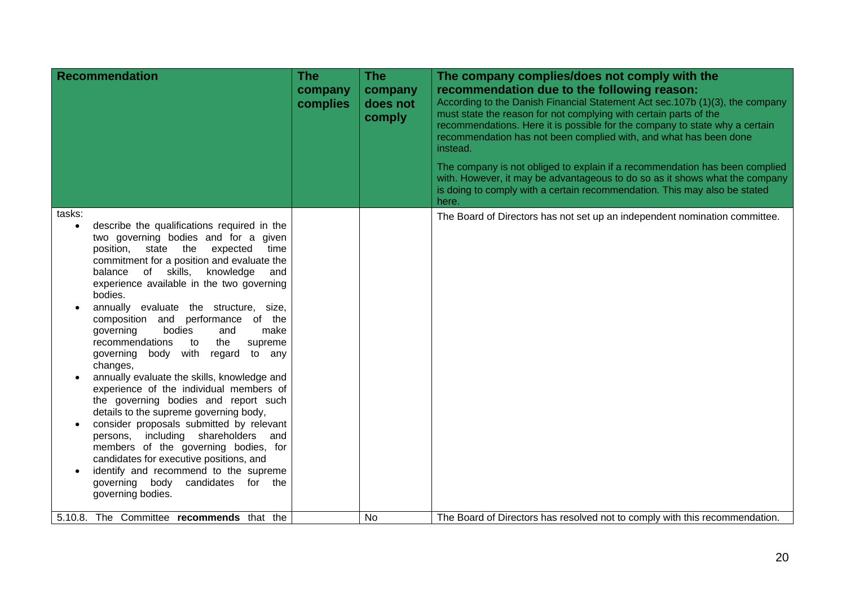| <b>Recommendation</b>                                                                                                                                                                                                                                                                                                                                                                                                                                                                                                                                                                                                                                                                                                                                                                                                                                                                                                                                                       | <b>The</b><br>company<br>complies | <b>The</b><br>company<br>does not<br>comply | The company complies/does not comply with the<br>recommendation due to the following reason:<br>According to the Danish Financial Statement Act sec.107b (1)(3), the company<br>must state the reason for not complying with certain parts of the<br>recommendations. Here it is possible for the company to state why a certain<br>recommendation has not been complied with, and what has been done<br>instead.<br>The company is not obliged to explain if a recommendation has been complied<br>with. However, it may be advantageous to do so as it shows what the company<br>is doing to comply with a certain recommendation. This may also be stated |
|-----------------------------------------------------------------------------------------------------------------------------------------------------------------------------------------------------------------------------------------------------------------------------------------------------------------------------------------------------------------------------------------------------------------------------------------------------------------------------------------------------------------------------------------------------------------------------------------------------------------------------------------------------------------------------------------------------------------------------------------------------------------------------------------------------------------------------------------------------------------------------------------------------------------------------------------------------------------------------|-----------------------------------|---------------------------------------------|--------------------------------------------------------------------------------------------------------------------------------------------------------------------------------------------------------------------------------------------------------------------------------------------------------------------------------------------------------------------------------------------------------------------------------------------------------------------------------------------------------------------------------------------------------------------------------------------------------------------------------------------------------------|
| tasks:<br>describe the qualifications required in the<br>$\bullet$<br>two governing bodies and for a given<br>position, state the expected<br>time<br>commitment for a position and evaluate the<br>knowledge<br>balance of skills,<br>experience available in the two governing<br>bodies.<br>annually evaluate the structure, size,<br>composition and performance of the<br>bodies<br>governing<br>make<br>and<br>recommendations<br>to<br>the<br>supreme<br>governing body with<br>regard<br>to any<br>changes,<br>annually evaluate the skills, knowledge and<br>experience of the individual members of<br>the governing bodies and report such<br>details to the supreme governing body,<br>consider proposals submitted by relevant<br>persons, including shareholders<br>and<br>members of the governing bodies, for<br>candidates for executive positions, and<br>identify and recommend to the supreme<br>governing body candidates for the<br>governing bodies. | and                               |                                             | here.<br>The Board of Directors has not set up an independent nomination committee.                                                                                                                                                                                                                                                                                                                                                                                                                                                                                                                                                                          |
| 5.10.8. The Committee recommends that the                                                                                                                                                                                                                                                                                                                                                                                                                                                                                                                                                                                                                                                                                                                                                                                                                                                                                                                                   |                                   | <b>No</b>                                   | The Board of Directors has resolved not to comply with this recommendation.                                                                                                                                                                                                                                                                                                                                                                                                                                                                                                                                                                                  |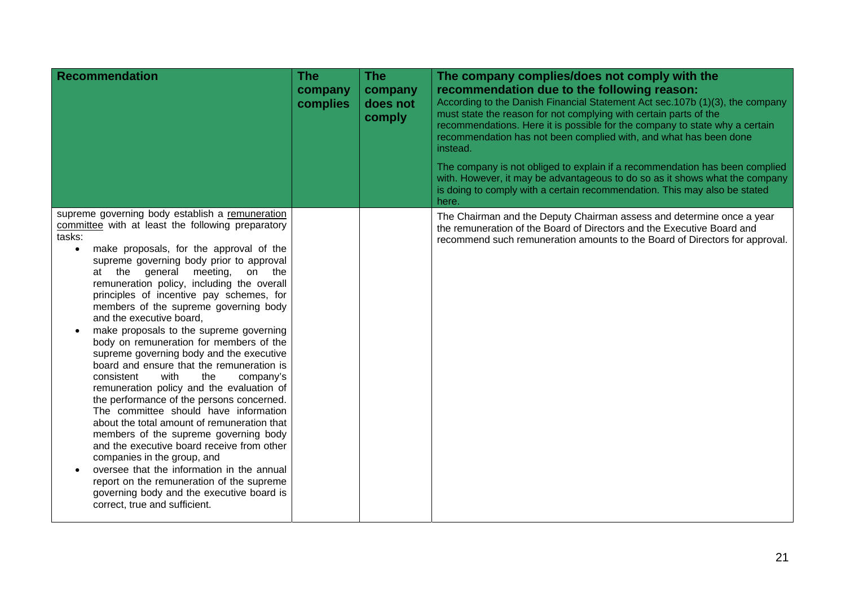| <b>Recommendation</b>                                                                                                                                                                                                                                                                                                                                                                                                                                                                                                                                                                                                                                                                                                                                                                                                                                                                                                                                                                                                                                                                                                               | <b>The</b><br>company<br>complies | <b>The</b><br>company<br>does not<br>comply | The company complies/does not comply with the<br>recommendation due to the following reason:<br>According to the Danish Financial Statement Act sec.107b (1)(3), the company<br>must state the reason for not complying with certain parts of the<br>recommendations. Here it is possible for the company to state why a certain<br>recommendation has not been complied with, and what has been done<br>instead.<br>The company is not obliged to explain if a recommendation has been complied<br>with. However, it may be advantageous to do so as it shows what the company<br>is doing to comply with a certain recommendation. This may also be stated<br>here. |
|-------------------------------------------------------------------------------------------------------------------------------------------------------------------------------------------------------------------------------------------------------------------------------------------------------------------------------------------------------------------------------------------------------------------------------------------------------------------------------------------------------------------------------------------------------------------------------------------------------------------------------------------------------------------------------------------------------------------------------------------------------------------------------------------------------------------------------------------------------------------------------------------------------------------------------------------------------------------------------------------------------------------------------------------------------------------------------------------------------------------------------------|-----------------------------------|---------------------------------------------|-----------------------------------------------------------------------------------------------------------------------------------------------------------------------------------------------------------------------------------------------------------------------------------------------------------------------------------------------------------------------------------------------------------------------------------------------------------------------------------------------------------------------------------------------------------------------------------------------------------------------------------------------------------------------|
| supreme governing body establish a remuneration<br>committee with at least the following preparatory<br>tasks:<br>make proposals, for the approval of the<br>$\bullet$<br>supreme governing body prior to approval<br>at the general<br>meeting,<br>on the<br>remuneration policy, including the overall<br>principles of incentive pay schemes, for<br>members of the supreme governing body<br>and the executive board,<br>make proposals to the supreme governing<br>body on remuneration for members of the<br>supreme governing body and the executive<br>board and ensure that the remuneration is<br>consistent<br>with<br>the<br>company's<br>remuneration policy and the evaluation of<br>the performance of the persons concerned.<br>The committee should have information<br>about the total amount of remuneration that<br>members of the supreme governing body<br>and the executive board receive from other<br>companies in the group, and<br>oversee that the information in the annual<br>report on the remuneration of the supreme<br>governing body and the executive board is<br>correct, true and sufficient. |                                   |                                             | The Chairman and the Deputy Chairman assess and determine once a year<br>the remuneration of the Board of Directors and the Executive Board and<br>recommend such remuneration amounts to the Board of Directors for approval.                                                                                                                                                                                                                                                                                                                                                                                                                                        |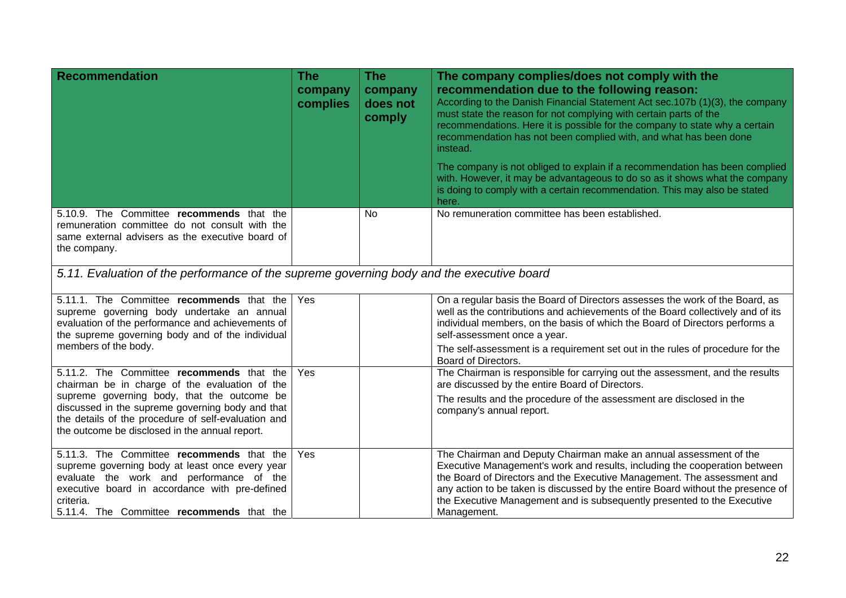| Recommendation                                                                                                                                                                                                                                       | <b>The</b><br>company<br>complies | <b>The</b><br>company<br>does not<br>comply | The company complies/does not comply with the<br>recommendation due to the following reason:<br>According to the Danish Financial Statement Act sec. 107b (1)(3), the company<br>must state the reason for not complying with certain parts of the<br>recommendations. Here it is possible for the company to state why a certain<br>recommendation has not been complied with, and what has been done<br>instead.<br>The company is not obliged to explain if a recommendation has been complied<br>with. However, it may be advantageous to do so as it shows what the company<br>is doing to comply with a certain recommendation. This may also be stated<br>here. |  |
|------------------------------------------------------------------------------------------------------------------------------------------------------------------------------------------------------------------------------------------------------|-----------------------------------|---------------------------------------------|------------------------------------------------------------------------------------------------------------------------------------------------------------------------------------------------------------------------------------------------------------------------------------------------------------------------------------------------------------------------------------------------------------------------------------------------------------------------------------------------------------------------------------------------------------------------------------------------------------------------------------------------------------------------|--|
| 5.10.9. The Committee recommends that the<br>remuneration committee do not consult with the<br>same external advisers as the executive board of<br>the company.                                                                                      |                                   | <b>No</b>                                   | No remuneration committee has been established.                                                                                                                                                                                                                                                                                                                                                                                                                                                                                                                                                                                                                        |  |
| 5.11. Evaluation of the performance of the supreme governing body and the executive board                                                                                                                                                            |                                   |                                             |                                                                                                                                                                                                                                                                                                                                                                                                                                                                                                                                                                                                                                                                        |  |
| 5.11.1. The Committee recommends that the<br>supreme governing body undertake an annual<br>evaluation of the performance and achievements of<br>the supreme governing body and of the individual<br>members of the body.                             | Yes                               |                                             | On a regular basis the Board of Directors assesses the work of the Board, as<br>well as the contributions and achievements of the Board collectively and of its<br>individual members, on the basis of which the Board of Directors performs a<br>self-assessment once a year.                                                                                                                                                                                                                                                                                                                                                                                         |  |
|                                                                                                                                                                                                                                                      |                                   |                                             | The self-assessment is a requirement set out in the rules of procedure for the<br>Board of Directors.                                                                                                                                                                                                                                                                                                                                                                                                                                                                                                                                                                  |  |
| 5.11.2. The Committee recommends that the<br>chairman be in charge of the evaluation of the                                                                                                                                                          | Yes                               |                                             | The Chairman is responsible for carrying out the assessment, and the results<br>are discussed by the entire Board of Directors.                                                                                                                                                                                                                                                                                                                                                                                                                                                                                                                                        |  |
| supreme governing body, that the outcome be<br>discussed in the supreme governing body and that<br>the details of the procedure of self-evaluation and<br>the outcome be disclosed in the annual report.                                             |                                   |                                             | The results and the procedure of the assessment are disclosed in the<br>company's annual report.                                                                                                                                                                                                                                                                                                                                                                                                                                                                                                                                                                       |  |
| 5.11.3. The Committee recommends that the<br>supreme governing body at least once every year<br>evaluate the work and performance of the<br>executive board in accordance with pre-defined<br>criteria.<br>5.11.4. The Committee recommends that the | Yes                               |                                             | The Chairman and Deputy Chairman make an annual assessment of the<br>Executive Management's work and results, including the cooperation between<br>the Board of Directors and the Executive Management. The assessment and<br>any action to be taken is discussed by the entire Board without the presence of<br>the Executive Management and is subsequently presented to the Executive<br>Management.                                                                                                                                                                                                                                                                |  |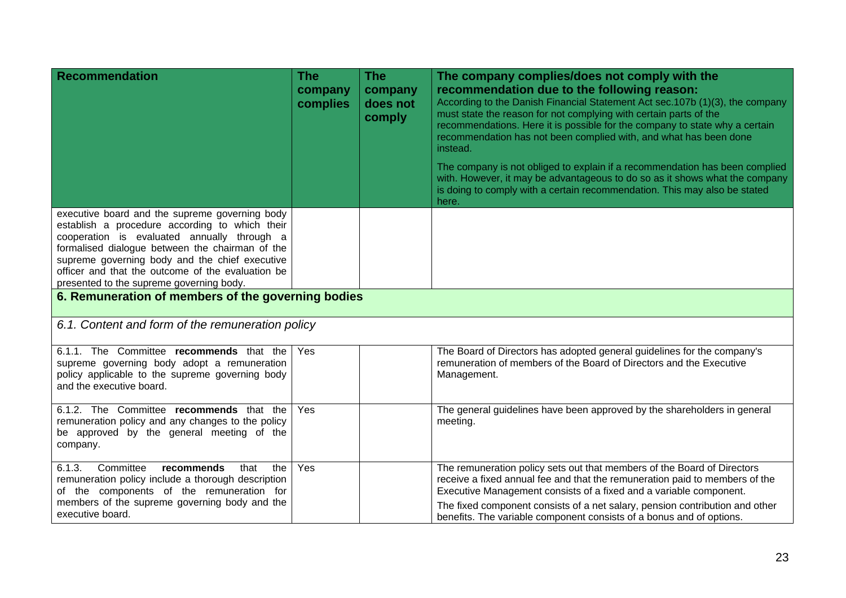| <b>Recommendation</b>                                                                                                                                                                                                                                                                                                                                 | <b>The</b><br>company<br>complies | <b>The</b><br>company<br>does not<br>comply | The company complies/does not comply with the<br>recommendation due to the following reason:<br>According to the Danish Financial Statement Act sec. 107b (1)(3), the company<br>must state the reason for not complying with certain parts of the<br>recommendations. Here it is possible for the company to state why a certain<br>recommendation has not been complied with, and what has been done<br>instead.<br>The company is not obliged to explain if a recommendation has been complied<br>with. However, it may be advantageous to do so as it shows what the company<br>is doing to comply with a certain recommendation. This may also be stated<br>here. |  |  |
|-------------------------------------------------------------------------------------------------------------------------------------------------------------------------------------------------------------------------------------------------------------------------------------------------------------------------------------------------------|-----------------------------------|---------------------------------------------|------------------------------------------------------------------------------------------------------------------------------------------------------------------------------------------------------------------------------------------------------------------------------------------------------------------------------------------------------------------------------------------------------------------------------------------------------------------------------------------------------------------------------------------------------------------------------------------------------------------------------------------------------------------------|--|--|
| executive board and the supreme governing body<br>establish a procedure according to which their<br>cooperation is evaluated annually through a<br>formalised dialogue between the chairman of the<br>supreme governing body and the chief executive<br>officer and that the outcome of the evaluation be<br>presented to the supreme governing body. |                                   |                                             |                                                                                                                                                                                                                                                                                                                                                                                                                                                                                                                                                                                                                                                                        |  |  |
| 6. Remuneration of members of the governing bodies                                                                                                                                                                                                                                                                                                    |                                   |                                             |                                                                                                                                                                                                                                                                                                                                                                                                                                                                                                                                                                                                                                                                        |  |  |
| 6.1. Content and form of the remuneration policy                                                                                                                                                                                                                                                                                                      |                                   |                                             |                                                                                                                                                                                                                                                                                                                                                                                                                                                                                                                                                                                                                                                                        |  |  |
| 6.1.1. The Committee recommends that the<br>supreme governing body adopt a remuneration<br>policy applicable to the supreme governing body<br>and the executive board.                                                                                                                                                                                | Yes                               |                                             | The Board of Directors has adopted general guidelines for the company's<br>remuneration of members of the Board of Directors and the Executive<br>Management.                                                                                                                                                                                                                                                                                                                                                                                                                                                                                                          |  |  |
| 6.1.2. The Committee recommends that the<br>remuneration policy and any changes to the policy<br>be approved by the general meeting of the<br>company.                                                                                                                                                                                                | Yes                               |                                             | The general guidelines have been approved by the shareholders in general<br>meeting.                                                                                                                                                                                                                                                                                                                                                                                                                                                                                                                                                                                   |  |  |
| 6.1.3.<br>Committee<br>recommends<br>that<br>the<br>remuneration policy include a thorough description<br>of the components of the remuneration for<br>members of the supreme governing body and the<br>executive board.                                                                                                                              | Yes                               |                                             | The remuneration policy sets out that members of the Board of Directors<br>receive a fixed annual fee and that the remuneration paid to members of the<br>Executive Management consists of a fixed and a variable component.<br>The fixed component consists of a net salary, pension contribution and other<br>benefits. The variable component consists of a bonus and of options.                                                                                                                                                                                                                                                                                   |  |  |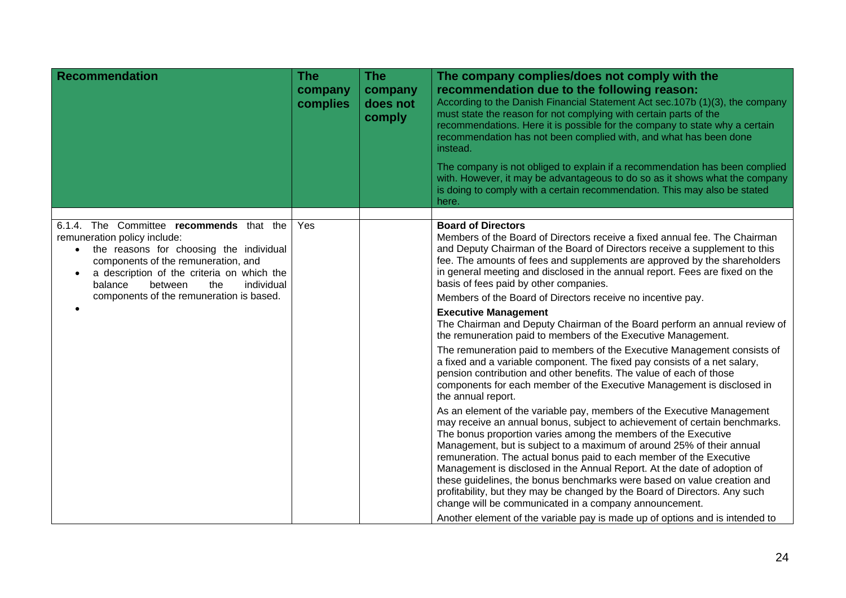| <b>Recommendation</b>                                                                                                                                                                                                                                                                                        | <b>The</b><br>company<br>complies | <b>The</b><br>company<br>does not<br>comply | The company complies/does not comply with the<br>recommendation due to the following reason:<br>According to the Danish Financial Statement Act sec. 107b (1)(3), the company<br>must state the reason for not complying with certain parts of the<br>recommendations. Here it is possible for the company to state why a certain<br>recommendation has not been complied with, and what has been done<br>instead.<br>The company is not obliged to explain if a recommendation has been complied<br>with. However, it may be advantageous to do so as it shows what the company<br>is doing to comply with a certain recommendation. This may also be stated<br>here.                                                                                |
|--------------------------------------------------------------------------------------------------------------------------------------------------------------------------------------------------------------------------------------------------------------------------------------------------------------|-----------------------------------|---------------------------------------------|-------------------------------------------------------------------------------------------------------------------------------------------------------------------------------------------------------------------------------------------------------------------------------------------------------------------------------------------------------------------------------------------------------------------------------------------------------------------------------------------------------------------------------------------------------------------------------------------------------------------------------------------------------------------------------------------------------------------------------------------------------|
|                                                                                                                                                                                                                                                                                                              |                                   |                                             |                                                                                                                                                                                                                                                                                                                                                                                                                                                                                                                                                                                                                                                                                                                                                       |
| 6.1.4. The Committee recommends that the<br>remuneration policy include:<br>the reasons for choosing the individual<br>$\bullet$<br>components of the remuneration, and<br>a description of the criteria on which the<br>between<br>individual<br>balance<br>the<br>components of the remuneration is based. | Yes                               |                                             | <b>Board of Directors</b><br>Members of the Board of Directors receive a fixed annual fee. The Chairman<br>and Deputy Chairman of the Board of Directors receive a supplement to this<br>fee. The amounts of fees and supplements are approved by the shareholders<br>in general meeting and disclosed in the annual report. Fees are fixed on the<br>basis of fees paid by other companies.<br>Members of the Board of Directors receive no incentive pay.                                                                                                                                                                                                                                                                                           |
| $\bullet$                                                                                                                                                                                                                                                                                                    |                                   |                                             | <b>Executive Management</b>                                                                                                                                                                                                                                                                                                                                                                                                                                                                                                                                                                                                                                                                                                                           |
|                                                                                                                                                                                                                                                                                                              |                                   |                                             | The Chairman and Deputy Chairman of the Board perform an annual review of<br>the remuneration paid to members of the Executive Management.                                                                                                                                                                                                                                                                                                                                                                                                                                                                                                                                                                                                            |
|                                                                                                                                                                                                                                                                                                              |                                   |                                             | The remuneration paid to members of the Executive Management consists of<br>a fixed and a variable component. The fixed pay consists of a net salary,<br>pension contribution and other benefits. The value of each of those<br>components for each member of the Executive Management is disclosed in<br>the annual report.                                                                                                                                                                                                                                                                                                                                                                                                                          |
|                                                                                                                                                                                                                                                                                                              |                                   |                                             | As an element of the variable pay, members of the Executive Management<br>may receive an annual bonus, subject to achievement of certain benchmarks.<br>The bonus proportion varies among the members of the Executive<br>Management, but is subject to a maximum of around 25% of their annual<br>remuneration. The actual bonus paid to each member of the Executive<br>Management is disclosed in the Annual Report. At the date of adoption of<br>these guidelines, the bonus benchmarks were based on value creation and<br>profitability, but they may be changed by the Board of Directors. Any such<br>change will be communicated in a company announcement.<br>Another element of the variable pay is made up of options and is intended to |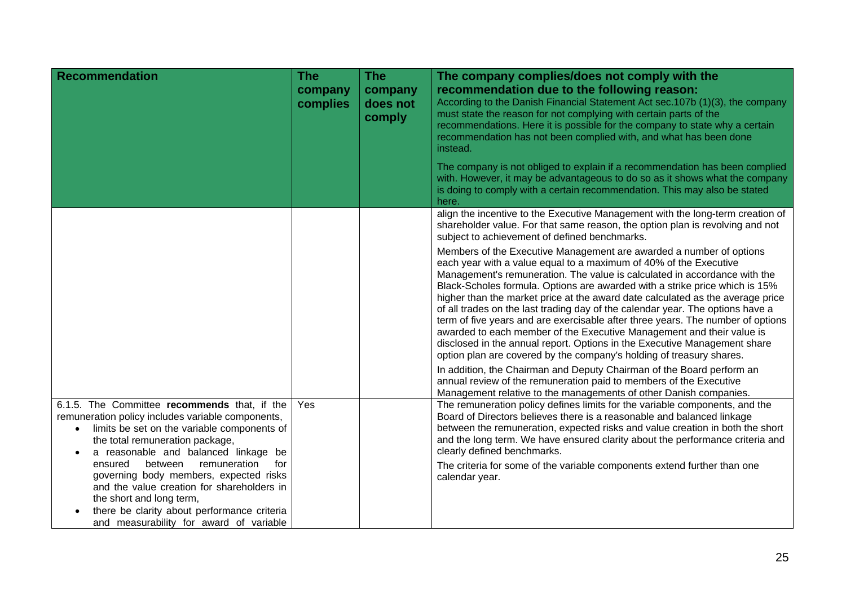| <b>Recommendation</b>                                                                                                                                                                                                                                                                                                                                                                                                                                                                               | The<br>company<br>complies | <b>The</b><br>company<br>does not<br>comply | The company complies/does not comply with the<br>recommendation due to the following reason:<br>According to the Danish Financial Statement Act sec. 107b (1)(3), the company<br>must state the reason for not complying with certain parts of the<br>recommendations. Here it is possible for the company to state why a certain<br>recommendation has not been complied with, and what has been done<br>instead.                                                                                                                                                                                                                                                                                                                                                                        |
|-----------------------------------------------------------------------------------------------------------------------------------------------------------------------------------------------------------------------------------------------------------------------------------------------------------------------------------------------------------------------------------------------------------------------------------------------------------------------------------------------------|----------------------------|---------------------------------------------|-------------------------------------------------------------------------------------------------------------------------------------------------------------------------------------------------------------------------------------------------------------------------------------------------------------------------------------------------------------------------------------------------------------------------------------------------------------------------------------------------------------------------------------------------------------------------------------------------------------------------------------------------------------------------------------------------------------------------------------------------------------------------------------------|
|                                                                                                                                                                                                                                                                                                                                                                                                                                                                                                     |                            |                                             | The company is not obliged to explain if a recommendation has been complied<br>with. However, it may be advantageous to do so as it shows what the company<br>is doing to comply with a certain recommendation. This may also be stated<br>here.                                                                                                                                                                                                                                                                                                                                                                                                                                                                                                                                          |
|                                                                                                                                                                                                                                                                                                                                                                                                                                                                                                     |                            |                                             | align the incentive to the Executive Management with the long-term creation of<br>shareholder value. For that same reason, the option plan is revolving and not<br>subject to achievement of defined benchmarks.                                                                                                                                                                                                                                                                                                                                                                                                                                                                                                                                                                          |
|                                                                                                                                                                                                                                                                                                                                                                                                                                                                                                     |                            |                                             | Members of the Executive Management are awarded a number of options<br>each year with a value equal to a maximum of 40% of the Executive<br>Management's remuneration. The value is calculated in accordance with the<br>Black-Scholes formula. Options are awarded with a strike price which is 15%<br>higher than the market price at the award date calculated as the average price<br>of all trades on the last trading day of the calendar year. The options have a<br>term of five years and are exercisable after three years. The number of options<br>awarded to each member of the Executive Management and their value is<br>disclosed in the annual report. Options in the Executive Management share<br>option plan are covered by the company's holding of treasury shares. |
|                                                                                                                                                                                                                                                                                                                                                                                                                                                                                                     |                            |                                             | In addition, the Chairman and Deputy Chairman of the Board perform an<br>annual review of the remuneration paid to members of the Executive<br>Management relative to the managements of other Danish companies.                                                                                                                                                                                                                                                                                                                                                                                                                                                                                                                                                                          |
| 6.1.5. The Committee recommends that, if the<br>remuneration policy includes variable components,<br>limits be set on the variable components of<br>$\bullet$<br>the total remuneration package,<br>a reasonable and balanced linkage be<br>remuneration<br>ensured<br>between<br>for<br>governing body members, expected risks<br>and the value creation for shareholders in<br>the short and long term,<br>there be clarity about performance criteria<br>and measurability for award of variable | Yes                        |                                             | The remuneration policy defines limits for the variable components, and the<br>Board of Directors believes there is a reasonable and balanced linkage<br>between the remuneration, expected risks and value creation in both the short<br>and the long term. We have ensured clarity about the performance criteria and<br>clearly defined benchmarks.<br>The criteria for some of the variable components extend further than one<br>calendar year.                                                                                                                                                                                                                                                                                                                                      |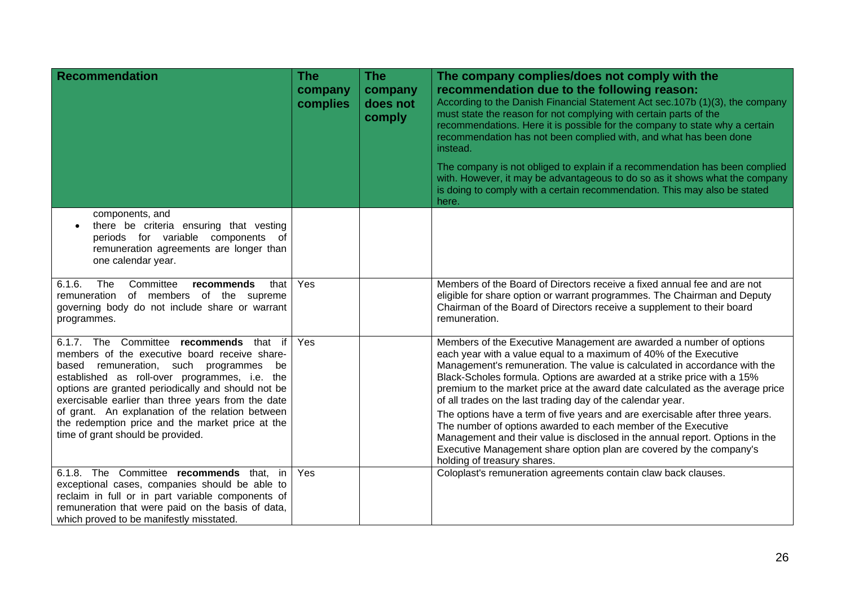| <b>Recommendation</b>                                                                                                                                                                                                                                                                              | <b>The</b><br>company<br>complies | <b>The</b><br>company<br>does not<br>comply | The company complies/does not comply with the<br>recommendation due to the following reason:<br>According to the Danish Financial Statement Act sec.107b (1)(3), the company<br>must state the reason for not complying with certain parts of the<br>recommendations. Here it is possible for the company to state why a certain<br>recommendation has not been complied with, and what has been done<br>instead.<br>The company is not obliged to explain if a recommendation has been complied<br>with. However, it may be advantageous to do so as it shows what the company |
|----------------------------------------------------------------------------------------------------------------------------------------------------------------------------------------------------------------------------------------------------------------------------------------------------|-----------------------------------|---------------------------------------------|---------------------------------------------------------------------------------------------------------------------------------------------------------------------------------------------------------------------------------------------------------------------------------------------------------------------------------------------------------------------------------------------------------------------------------------------------------------------------------------------------------------------------------------------------------------------------------|
|                                                                                                                                                                                                                                                                                                    |                                   |                                             | is doing to comply with a certain recommendation. This may also be stated<br>here.                                                                                                                                                                                                                                                                                                                                                                                                                                                                                              |
| components, and<br>there be criteria ensuring that vesting<br>periods for variable components of<br>remuneration agreements are longer than<br>one calendar year.                                                                                                                                  |                                   |                                             |                                                                                                                                                                                                                                                                                                                                                                                                                                                                                                                                                                                 |
| 6.1.6.<br>The<br>Committee<br>that<br>recommends<br>remuneration of members of the supreme<br>governing body do not include share or warrant<br>programmes.                                                                                                                                        | Yes                               |                                             | Members of the Board of Directors receive a fixed annual fee and are not<br>eligible for share option or warrant programmes. The Chairman and Deputy<br>Chairman of the Board of Directors receive a supplement to their board<br>remuneration.                                                                                                                                                                                                                                                                                                                                 |
| 6.1.7. The Committee recommends that if<br>members of the executive board receive share-<br>based remuneration, such programmes<br>be<br>established as roll-over programmes, i.e. the<br>options are granted periodically and should not be<br>exercisable earlier than three years from the date | Yes                               |                                             | Members of the Executive Management are awarded a number of options<br>each year with a value equal to a maximum of 40% of the Executive<br>Management's remuneration. The value is calculated in accordance with the<br>Black-Scholes formula. Options are awarded at a strike price with a 15%<br>premium to the market price at the award date calculated as the average price<br>of all trades on the last trading day of the calendar year.                                                                                                                                |
| of grant. An explanation of the relation between<br>the redemption price and the market price at the<br>time of grant should be provided.                                                                                                                                                          |                                   |                                             | The options have a term of five years and are exercisable after three years.<br>The number of options awarded to each member of the Executive<br>Management and their value is disclosed in the annual report. Options in the<br>Executive Management share option plan are covered by the company's<br>holding of treasury shares.                                                                                                                                                                                                                                             |
| 6.1.8. The Committee recommends that, in<br>exceptional cases, companies should be able to<br>reclaim in full or in part variable components of<br>remuneration that were paid on the basis of data,<br>which proved to be manifestly misstated.                                                   | Yes                               |                                             | Coloplast's remuneration agreements contain claw back clauses.                                                                                                                                                                                                                                                                                                                                                                                                                                                                                                                  |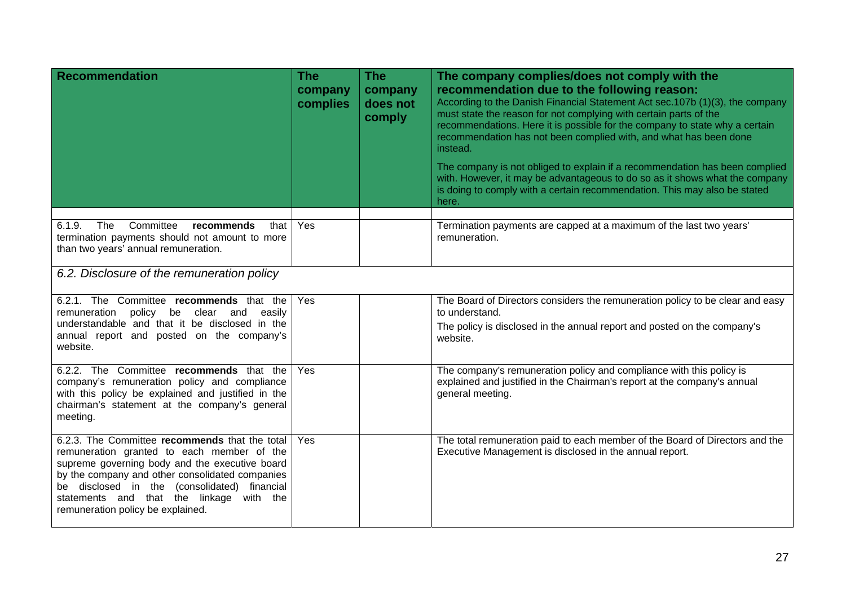| <b>Recommendation</b>                                                                                                                                                                                                                                                                                                              | The<br>company<br>complies | The<br>company<br>does not<br>comply | The company complies/does not comply with the<br>recommendation due to the following reason:<br>According to the Danish Financial Statement Act sec.107b (1)(3), the company<br>must state the reason for not complying with certain parts of the<br>recommendations. Here it is possible for the company to state why a certain<br>recommendation has not been complied with, and what has been done<br>instead.<br>The company is not obliged to explain if a recommendation has been complied<br>with. However, it may be advantageous to do so as it shows what the company<br>is doing to comply with a certain recommendation. This may also be stated<br>here. |  |  |
|------------------------------------------------------------------------------------------------------------------------------------------------------------------------------------------------------------------------------------------------------------------------------------------------------------------------------------|----------------------------|--------------------------------------|-----------------------------------------------------------------------------------------------------------------------------------------------------------------------------------------------------------------------------------------------------------------------------------------------------------------------------------------------------------------------------------------------------------------------------------------------------------------------------------------------------------------------------------------------------------------------------------------------------------------------------------------------------------------------|--|--|
| $6.1.\overline{9.}$<br>The<br>Committee<br>recommends<br>that<br>termination payments should not amount to more<br>than two years' annual remuneration.                                                                                                                                                                            | Yes                        |                                      | Termination payments are capped at a maximum of the last two years'<br>remuneration.                                                                                                                                                                                                                                                                                                                                                                                                                                                                                                                                                                                  |  |  |
| 6.2. Disclosure of the remuneration policy                                                                                                                                                                                                                                                                                         |                            |                                      |                                                                                                                                                                                                                                                                                                                                                                                                                                                                                                                                                                                                                                                                       |  |  |
| 6.2.1. The Committee recommends that the<br>remuneration policy be clear and<br>easily<br>understandable and that it be disclosed in the<br>annual report and posted on the company's<br>website.                                                                                                                                  | Yes                        |                                      | The Board of Directors considers the remuneration policy to be clear and easy<br>to understand.<br>The policy is disclosed in the annual report and posted on the company's<br>website.                                                                                                                                                                                                                                                                                                                                                                                                                                                                               |  |  |
| 6.2.2. The Committee recommends that the<br>company's remuneration policy and compliance<br>with this policy be explained and justified in the<br>chairman's statement at the company's general<br>meeting.                                                                                                                        | Yes                        |                                      | The company's remuneration policy and compliance with this policy is<br>explained and justified in the Chairman's report at the company's annual<br>general meeting.                                                                                                                                                                                                                                                                                                                                                                                                                                                                                                  |  |  |
| 6.2.3. The Committee recommends that the total<br>remuneration granted to each member of the<br>supreme governing body and the executive board<br>by the company and other consolidated companies<br>be disclosed in the (consolidated) financial<br>statements and that the linkage with the<br>remuneration policy be explained. | Yes                        |                                      | The total remuneration paid to each member of the Board of Directors and the<br>Executive Management is disclosed in the annual report.                                                                                                                                                                                                                                                                                                                                                                                                                                                                                                                               |  |  |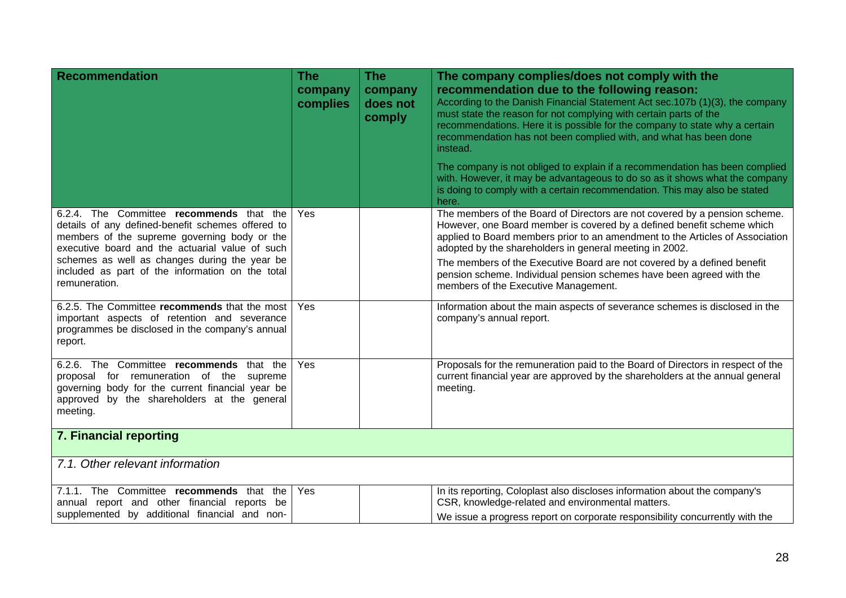| <b>Recommendation</b>                                                                                                                                                                                                                                                                                                  | <b>The</b><br>company<br>complies | <b>The</b><br>company<br>does not<br>comply | The company complies/does not comply with the<br>recommendation due to the following reason:<br>According to the Danish Financial Statement Act sec.107b (1)(3), the company<br>must state the reason for not complying with certain parts of the<br>recommendations. Here it is possible for the company to state why a certain<br>recommendation has not been complied with, and what has been done<br>instead.<br>The company is not obliged to explain if a recommendation has been complied<br>with. However, it may be advantageous to do so as it shows what the company<br>is doing to comply with a certain recommendation. This may also be stated<br>here. |
|------------------------------------------------------------------------------------------------------------------------------------------------------------------------------------------------------------------------------------------------------------------------------------------------------------------------|-----------------------------------|---------------------------------------------|-----------------------------------------------------------------------------------------------------------------------------------------------------------------------------------------------------------------------------------------------------------------------------------------------------------------------------------------------------------------------------------------------------------------------------------------------------------------------------------------------------------------------------------------------------------------------------------------------------------------------------------------------------------------------|
| 6.2.4. The Committee recommends that the<br>details of any defined-benefit schemes offered to<br>members of the supreme governing body or the<br>executive board and the actuarial value of such<br>schemes as well as changes during the year be<br>included as part of the information on the total<br>remuneration. | Yes                               |                                             | The members of the Board of Directors are not covered by a pension scheme.<br>However, one Board member is covered by a defined benefit scheme which<br>applied to Board members prior to an amendment to the Articles of Association<br>adopted by the shareholders in general meeting in 2002.<br>The members of the Executive Board are not covered by a defined benefit<br>pension scheme. Individual pension schemes have been agreed with the<br>members of the Executive Management.                                                                                                                                                                           |
| 6.2.5. The Committee recommends that the most<br>important aspects of retention and severance<br>programmes be disclosed in the company's annual<br>report.                                                                                                                                                            | Yes                               |                                             | Information about the main aspects of severance schemes is disclosed in the<br>company's annual report.                                                                                                                                                                                                                                                                                                                                                                                                                                                                                                                                                               |
| 6.2.6. The Committee recommends that the<br>proposal for remuneration of the supreme<br>governing body for the current financial year be<br>approved by the shareholders at the general<br>meeting.                                                                                                                    | Yes                               |                                             | Proposals for the remuneration paid to the Board of Directors in respect of the<br>current financial year are approved by the shareholders at the annual general<br>meeting.                                                                                                                                                                                                                                                                                                                                                                                                                                                                                          |
| 7. Financial reporting                                                                                                                                                                                                                                                                                                 |                                   |                                             |                                                                                                                                                                                                                                                                                                                                                                                                                                                                                                                                                                                                                                                                       |
| 7.1. Other relevant information                                                                                                                                                                                                                                                                                        |                                   |                                             |                                                                                                                                                                                                                                                                                                                                                                                                                                                                                                                                                                                                                                                                       |
| 7.1.1. The Committee recommends that the<br>annual report and other financial reports be<br>supplemented by additional financial and non-                                                                                                                                                                              | Yes                               |                                             | In its reporting, Coloplast also discloses information about the company's<br>CSR, knowledge-related and environmental matters.<br>We issue a progress report on corporate responsibility concurrently with the                                                                                                                                                                                                                                                                                                                                                                                                                                                       |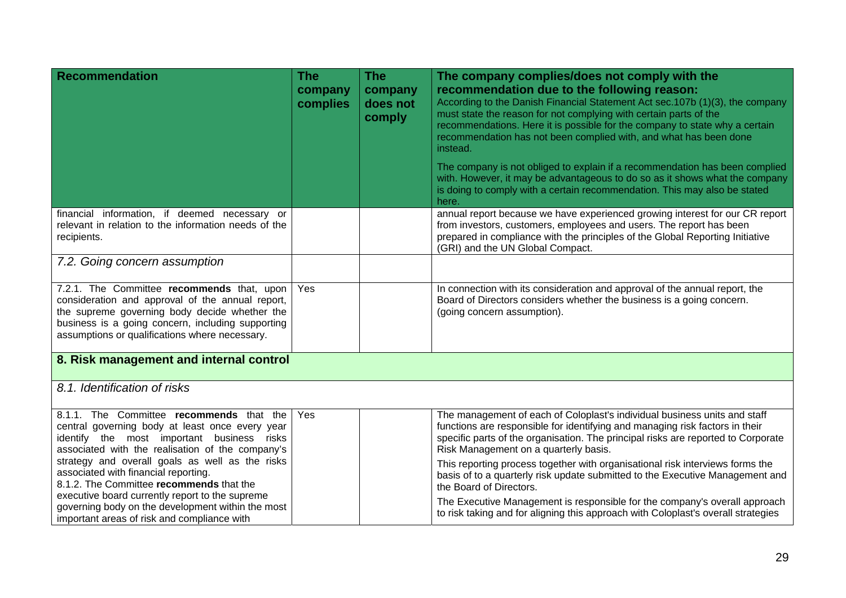| <b>Recommendation</b>                                                                                                                                                                                                                                                                                                                                                                                                                                                                       | <b>The</b><br>company<br>complies | <b>The</b><br>company<br>does not<br>comply | The company complies/does not comply with the<br>recommendation due to the following reason:<br>According to the Danish Financial Statement Act sec.107b (1)(3), the company<br>must state the reason for not complying with certain parts of the<br>recommendations. Here it is possible for the company to state why a certain<br>recommendation has not been complied with, and what has been done<br>instead.<br>The company is not obliged to explain if a recommendation has been complied<br>with. However, it may be advantageous to do so as it shows what the company<br>is doing to comply with a certain recommendation. This may also be stated<br>here. |
|---------------------------------------------------------------------------------------------------------------------------------------------------------------------------------------------------------------------------------------------------------------------------------------------------------------------------------------------------------------------------------------------------------------------------------------------------------------------------------------------|-----------------------------------|---------------------------------------------|-----------------------------------------------------------------------------------------------------------------------------------------------------------------------------------------------------------------------------------------------------------------------------------------------------------------------------------------------------------------------------------------------------------------------------------------------------------------------------------------------------------------------------------------------------------------------------------------------------------------------------------------------------------------------|
| financial information, if deemed necessary or<br>relevant in relation to the information needs of the<br>recipients.                                                                                                                                                                                                                                                                                                                                                                        |                                   |                                             | annual report because we have experienced growing interest for our CR report<br>from investors, customers, employees and users. The report has been<br>prepared in compliance with the principles of the Global Reporting Initiative<br>(GRI) and the UN Global Compact.                                                                                                                                                                                                                                                                                                                                                                                              |
| 7.2. Going concern assumption                                                                                                                                                                                                                                                                                                                                                                                                                                                               |                                   |                                             |                                                                                                                                                                                                                                                                                                                                                                                                                                                                                                                                                                                                                                                                       |
| 7.2.1. The Committee recommends that, upon<br>consideration and approval of the annual report,<br>the supreme governing body decide whether the<br>business is a going concern, including supporting<br>assumptions or qualifications where necessary.                                                                                                                                                                                                                                      | Yes                               |                                             | In connection with its consideration and approval of the annual report, the<br>Board of Directors considers whether the business is a going concern.<br>(going concern assumption).                                                                                                                                                                                                                                                                                                                                                                                                                                                                                   |
| 8. Risk management and internal control                                                                                                                                                                                                                                                                                                                                                                                                                                                     |                                   |                                             |                                                                                                                                                                                                                                                                                                                                                                                                                                                                                                                                                                                                                                                                       |
| 8.1. Identification of risks                                                                                                                                                                                                                                                                                                                                                                                                                                                                |                                   |                                             |                                                                                                                                                                                                                                                                                                                                                                                                                                                                                                                                                                                                                                                                       |
| 8.1.1. The Committee recommends that the<br>central governing body at least once every year<br>identify the most important business risks<br>associated with the realisation of the company's<br>strategy and overall goals as well as the risks<br>associated with financial reporting.<br>8.1.2. The Committee recommends that the<br>executive board currently report to the supreme<br>governing body on the development within the most<br>important areas of risk and compliance with | Yes                               |                                             | The management of each of Coloplast's individual business units and staff<br>functions are responsible for identifying and managing risk factors in their<br>specific parts of the organisation. The principal risks are reported to Corporate<br>Risk Management on a quarterly basis.<br>This reporting process together with organisational risk interviews forms the<br>basis of to a quarterly risk update submitted to the Executive Management and<br>the Board of Directors.<br>The Executive Management is responsible for the company's overall approach<br>to risk taking and for aligning this approach with Coloplast's overall strategies               |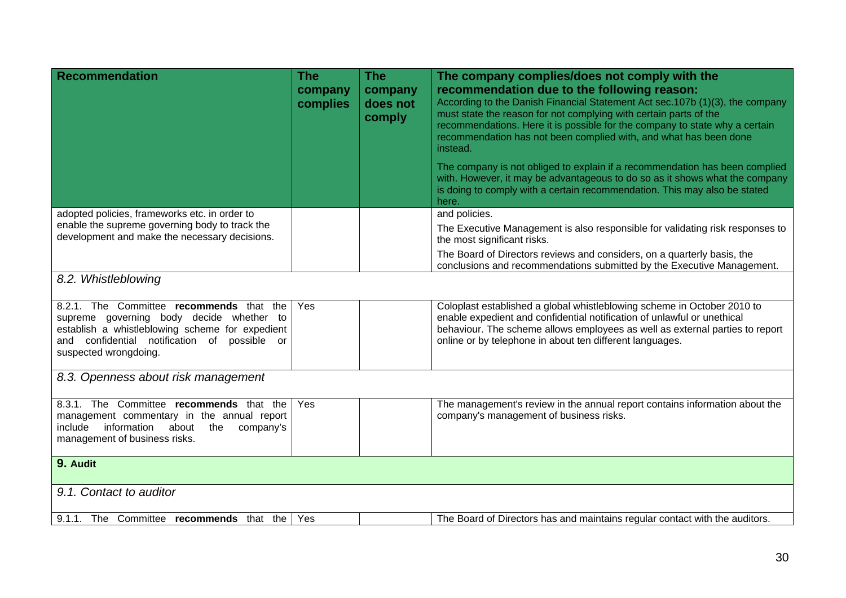| <b>Recommendation</b>                                                                                                                                                                                            | <b>The</b><br>company<br>complies | <b>The</b><br>company<br>does not<br>comply | The company complies/does not comply with the<br>recommendation due to the following reason:<br>According to the Danish Financial Statement Act sec.107b (1)(3), the company<br>must state the reason for not complying with certain parts of the<br>recommendations. Here it is possible for the company to state why a certain<br>recommendation has not been complied with, and what has been done<br>instead.<br>The company is not obliged to explain if a recommendation has been complied<br>with. However, it may be advantageous to do so as it shows what the company |
|------------------------------------------------------------------------------------------------------------------------------------------------------------------------------------------------------------------|-----------------------------------|---------------------------------------------|---------------------------------------------------------------------------------------------------------------------------------------------------------------------------------------------------------------------------------------------------------------------------------------------------------------------------------------------------------------------------------------------------------------------------------------------------------------------------------------------------------------------------------------------------------------------------------|
|                                                                                                                                                                                                                  |                                   |                                             | is doing to comply with a certain recommendation. This may also be stated<br>here.                                                                                                                                                                                                                                                                                                                                                                                                                                                                                              |
| adopted policies, frameworks etc. in order to                                                                                                                                                                    |                                   |                                             | and policies.                                                                                                                                                                                                                                                                                                                                                                                                                                                                                                                                                                   |
| enable the supreme governing body to track the<br>development and make the necessary decisions.                                                                                                                  |                                   |                                             | The Executive Management is also responsible for validating risk responses to<br>the most significant risks.                                                                                                                                                                                                                                                                                                                                                                                                                                                                    |
|                                                                                                                                                                                                                  |                                   |                                             | The Board of Directors reviews and considers, on a quarterly basis, the<br>conclusions and recommendations submitted by the Executive Management.                                                                                                                                                                                                                                                                                                                                                                                                                               |
| 8.2. Whistleblowing                                                                                                                                                                                              |                                   |                                             |                                                                                                                                                                                                                                                                                                                                                                                                                                                                                                                                                                                 |
| 8.2.1. The Committee recommends that the<br>supreme governing body decide whether to<br>establish a whistleblowing scheme for expedient<br>and confidential notification of possible or<br>suspected wrongdoing. | Yes                               |                                             | Coloplast established a global whistleblowing scheme in October 2010 to<br>enable expedient and confidential notification of unlawful or unethical<br>behaviour. The scheme allows employees as well as external parties to report<br>online or by telephone in about ten different languages.                                                                                                                                                                                                                                                                                  |
| 8.3. Openness about risk management                                                                                                                                                                              |                                   |                                             |                                                                                                                                                                                                                                                                                                                                                                                                                                                                                                                                                                                 |
| 8.3.1. The Committee recommends that the<br>management commentary in the annual report<br>include information about<br>the<br>company's<br>management of business risks.                                         | Yes                               |                                             | The management's review in the annual report contains information about the<br>company's management of business risks.                                                                                                                                                                                                                                                                                                                                                                                                                                                          |
| 9. Audit                                                                                                                                                                                                         |                                   |                                             |                                                                                                                                                                                                                                                                                                                                                                                                                                                                                                                                                                                 |
| 9.1. Contact to auditor                                                                                                                                                                                          |                                   |                                             |                                                                                                                                                                                                                                                                                                                                                                                                                                                                                                                                                                                 |
| 9.1.1. The Committee recommends that the                                                                                                                                                                         | Yes                               |                                             | The Board of Directors has and maintains regular contact with the auditors.                                                                                                                                                                                                                                                                                                                                                                                                                                                                                                     |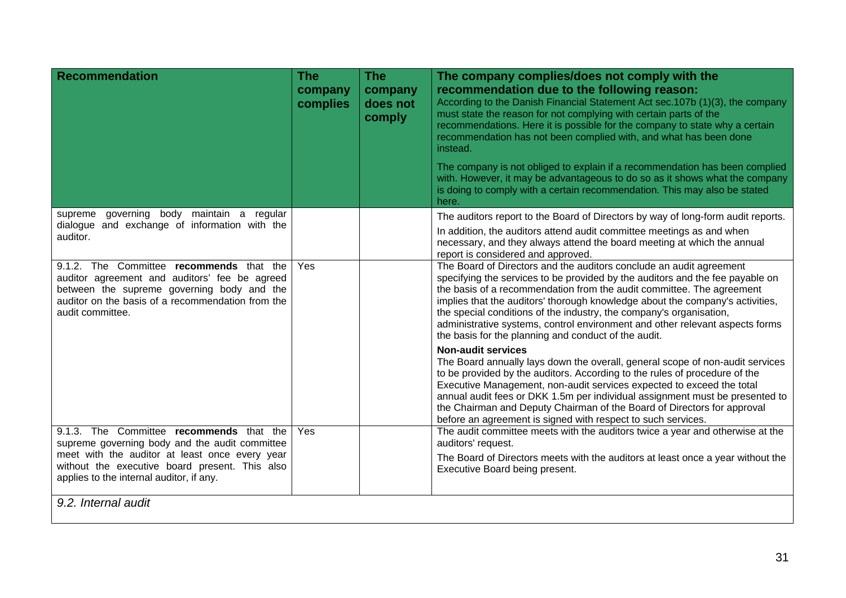| <b>Recommendation</b>                                                                                                                                                                                            | The<br>company<br>complies | <b>The</b><br>company<br>does not<br>comply | The company complies/does not comply with the<br>recommendation due to the following reason:<br>According to the Danish Financial Statement Act sec.107b (1)(3), the company<br>must state the reason for not complying with certain parts of the<br>recommendations. Here it is possible for the company to state why a certain<br>recommendation has not been complied with, and what has been done<br>instead.<br>The company is not obliged to explain if a recommendation has been complied                              |
|------------------------------------------------------------------------------------------------------------------------------------------------------------------------------------------------------------------|----------------------------|---------------------------------------------|-------------------------------------------------------------------------------------------------------------------------------------------------------------------------------------------------------------------------------------------------------------------------------------------------------------------------------------------------------------------------------------------------------------------------------------------------------------------------------------------------------------------------------|
|                                                                                                                                                                                                                  |                            |                                             | with. However, it may be advantageous to do so as it shows what the company<br>is doing to comply with a certain recommendation. This may also be stated<br>here.                                                                                                                                                                                                                                                                                                                                                             |
| governing body maintain a regular<br>supreme                                                                                                                                                                     |                            |                                             | The auditors report to the Board of Directors by way of long-form audit reports.                                                                                                                                                                                                                                                                                                                                                                                                                                              |
| dialogue and exchange of information with the<br>auditor.                                                                                                                                                        |                            |                                             | In addition, the auditors attend audit committee meetings as and when<br>necessary, and they always attend the board meeting at which the annual<br>report is considered and approved.                                                                                                                                                                                                                                                                                                                                        |
| 9.1.2. The Committee recommends that the<br>auditor agreement and auditors' fee be agreed<br>between the supreme governing body and the<br>auditor on the basis of a recommendation from the<br>audit committee. | Yes                        |                                             | The Board of Directors and the auditors conclude an audit agreement<br>specifying the services to be provided by the auditors and the fee payable on<br>the basis of a recommendation from the audit committee. The agreement<br>implies that the auditors' thorough knowledge about the company's activities,<br>the special conditions of the industry, the company's organisation,<br>administrative systems, control environment and other relevant aspects forms<br>the basis for the planning and conduct of the audit. |
|                                                                                                                                                                                                                  |                            |                                             | <b>Non-audit services</b><br>The Board annually lays down the overall, general scope of non-audit services<br>to be provided by the auditors. According to the rules of procedure of the<br>Executive Management, non-audit services expected to exceed the total<br>annual audit fees or DKK 1.5m per individual assignment must be presented to<br>the Chairman and Deputy Chairman of the Board of Directors for approval<br>before an agreement is signed with respect to such services.                                  |
| 9.1.3. The Committee recommends that the<br>supreme governing body and the audit committee                                                                                                                       | Yes                        |                                             | The audit committee meets with the auditors twice a year and otherwise at the<br>auditors' request.                                                                                                                                                                                                                                                                                                                                                                                                                           |
| meet with the auditor at least once every year<br>without the executive board present. This also<br>applies to the internal auditor, if any.                                                                     |                            |                                             | The Board of Directors meets with the auditors at least once a year without the<br>Executive Board being present.                                                                                                                                                                                                                                                                                                                                                                                                             |
| 9.2. Internal audit                                                                                                                                                                                              |                            |                                             |                                                                                                                                                                                                                                                                                                                                                                                                                                                                                                                               |